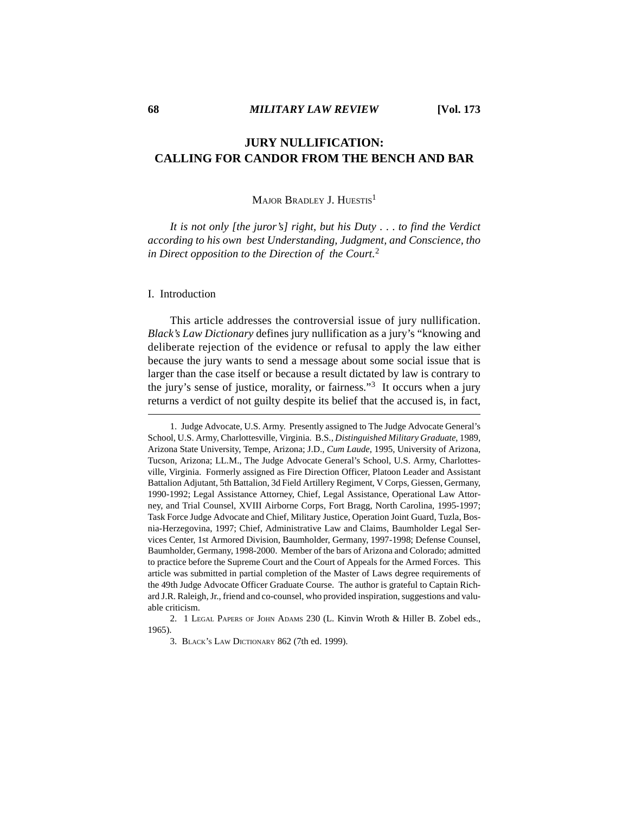# **JURY NULLIFICATION: CALLING FOR CANDOR FROM THE BENCH AND BAR**

# MAJOR BRADLEY J. HUESTIS<sup>1</sup>

*It is not only [the juror's] right, but his Duty* . . . *to find the Verdict according to his own best Understanding, Judgment, and Conscience, tho in Direct opposition to the Direction of the Court.*<sup>2</sup>

### I. Introduction

This article addresses the controversial issue of jury nullification. *Black's Law Dictionary* defines jury nullification as a jury's "knowing and deliberate rejection of the evidence or refusal to apply the law either because the jury wants to send a message about some social issue that is larger than the case itself or because a result dictated by law is contrary to the jury's sense of justice, morality, or fairness."<sup>3</sup> It occurs when a jury returns a verdict of not guilty despite its belief that the accused is, in fact,

<sup>1.</sup> Judge Advocate, U.S. Army. Presently assigned to The Judge Advocate General's School, U.S. Army, Charlottesville, Virginia. B.S., *Distinguished Military Graduate*, 1989, Arizona State University, Tempe, Arizona; J.D., *Cum Laude*, 1995, University of Arizona, Tucson, Arizona; LL.M., The Judge Advocate General's School, U.S. Army, Charlottesville, Virginia. Formerly assigned as Fire Direction Officer, Platoon Leader and Assistant Battalion Adjutant, 5th Battalion, 3d Field Artillery Regiment, V Corps, Giessen, Germany, 1990-1992; Legal Assistance Attorney, Chief, Legal Assistance, Operational Law Attorney, and Trial Counsel, XVIII Airborne Corps, Fort Bragg, North Carolina, 1995-1997; Task Force Judge Advocate and Chief, Military Justice, Operation Joint Guard, Tuzla, Bosnia-Herzegovina, 1997; Chief, Administrative Law and Claims, Baumholder Legal Services Center, 1st Armored Division, Baumholder, Germany, 1997-1998; Defense Counsel, Baumholder, Germany, 1998-2000. Member of the bars of Arizona and Colorado; admitted to practice before the Supreme Court and the Court of Appeals for the Armed Forces. This article was submitted in partial completion of the Master of Laws degree requirements of the 49th Judge Advocate Officer Graduate Course. The author is grateful to Captain Richard J.R. Raleigh, Jr., friend and co-counsel, who provided inspiration, suggestions and valuable criticism.

<sup>2. 1</sup> LEGAL PAPERS OF JOHN ADAMS 230 (L. Kinvin Wroth & Hiller B. Zobel eds., 1965).

<sup>3.</sup> BLACK'S LAW DICTIONARY 862 (7th ed. 1999).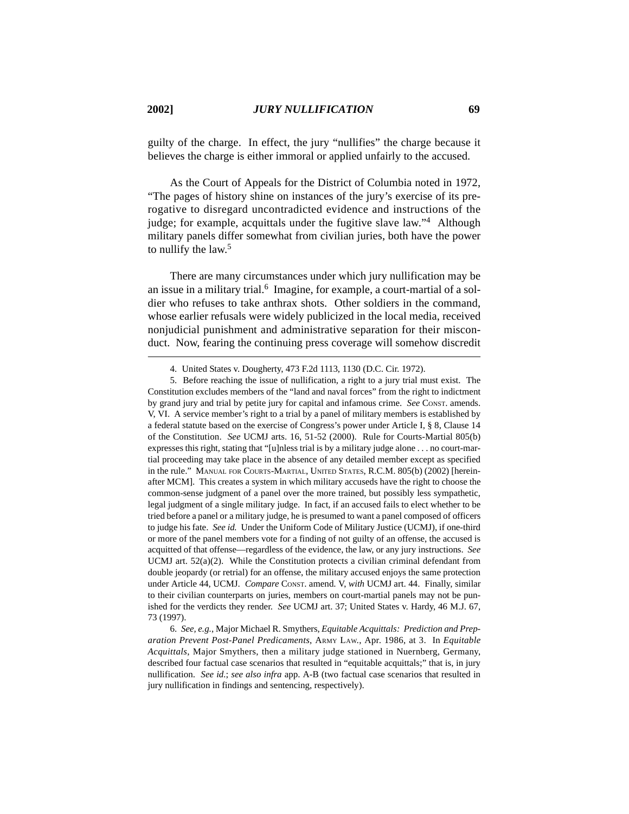guilty of the charge. In effect, the jury "nullifies" the charge because it believes the charge is either immoral or applied unfairly to the accused.

As the Court of Appeals for the District of Columbia noted in 1972, "The pages of history shine on instances of the jury's exercise of its prerogative to disregard uncontradicted evidence and instructions of the judge; for example, acquittals under the fugitive slave law."4 Although military panels differ somewhat from civilian juries, both have the power to nullify the law.<sup>5</sup>

There are many circumstances under which jury nullification may be an issue in a military trial.<sup>6</sup> Imagine, for example, a court-martial of a soldier who refuses to take anthrax shots. Other soldiers in the command, whose earlier refusals were widely publicized in the local media, received nonjudicial punishment and administrative separation for their misconduct. Now, fearing the continuing press coverage will somehow discredit

<sup>4.</sup> United States v. Dougherty, 473 F.2d 1113, 1130 (D.C. Cir. 1972).

<sup>5.</sup> Before reaching the issue of nullification, a right to a jury trial must exist. The Constitution excludes members of the "land and naval forces" from the right to indictment by grand jury and trial by petite jury for capital and infamous crime. *See* CONST. amends. V, VI. A service member's right to a trial by a panel of military members is established by a federal statute based on the exercise of Congress's power under Article I, § 8, Clause 14 of the Constitution. *See* UCMJ arts. 16, 51-52 (2000). Rule for Courts-Martial 805(b) expresses this right, stating that "[u]nless trial is by a military judge alone . . . no court-martial proceeding may take place in the absence of any detailed member except as specified in the rule." MANUAL FOR COURTS-MARTIAL, UNITED STATES, R.C.M. 805(b) (2002) [hereinafter MCM]. This creates a system in which military accuseds have the right to choose the common-sense judgment of a panel over the more trained, but possibly less sympathetic, legal judgment of a single military judge. In fact, if an accused fails to elect whether to be tried before a panel or a military judge, he is presumed to want a panel composed of officers to judge his fate. *See id.* Under the Uniform Code of Military Justice (UCMJ), if one-third or more of the panel members vote for a finding of not guilty of an offense, the accused is acquitted of that offense—regardless of the evidence, the law, or any jury instructions. *See* UCMJ art.  $52(a)(2)$ . While the Constitution protects a civilian criminal defendant from double jeopardy (or retrial) for an offense, the military accused enjoys the same protection under Article 44, UCMJ. *Compare* CONST. amend. V, *with* UCMJ art. 44. Finally, similar to their civilian counterparts on juries, members on court-martial panels may not be punished for the verdicts they render. *See* UCMJ art. 37; United States v. Hardy, 46 M.J. 67, 73 (1997).

<sup>6.</sup> *See, e.g.*, Major Michael R. Smythers, *Equitable Acquittals: Prediction and Preparation Prevent Post-Panel Predicaments*, ARMY LAW., Apr. 1986, at 3. In *Equitable Acquittals*, Major Smythers, then a military judge stationed in Nuernberg, Germany, described four factual case scenarios that resulted in "equitable acquittals;" that is, in jury nullification. *See id.*; *see also infra* app. A-B (two factual case scenarios that resulted in jury nullification in findings and sentencing, respectively).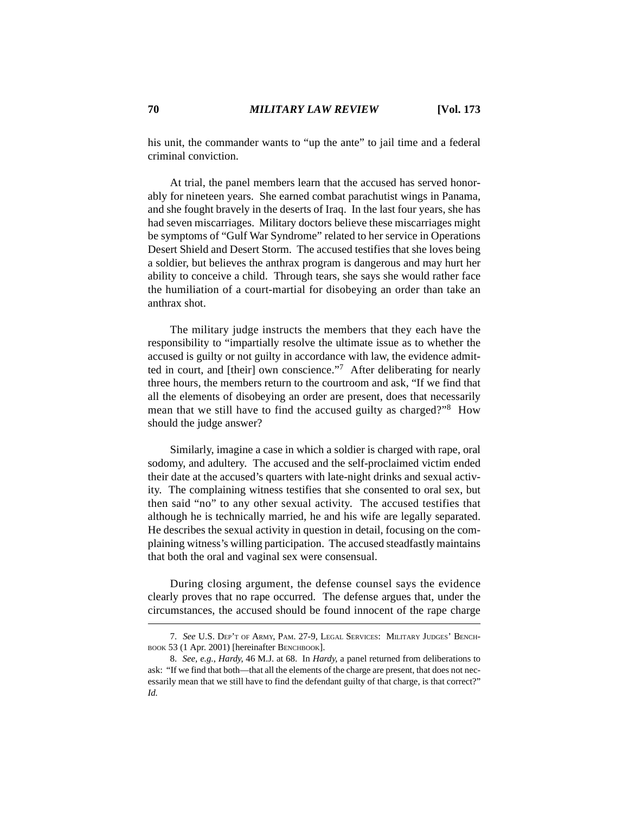his unit, the commander wants to "up the ante" to jail time and a federal criminal conviction.

At trial, the panel members learn that the accused has served honorably for nineteen years. She earned combat parachutist wings in Panama, and she fought bravely in the deserts of Iraq. In the last four years, she has had seven miscarriages. Military doctors believe these miscarriages might be symptoms of "Gulf War Syndrome" related to her service in Operations Desert Shield and Desert Storm. The accused testifies that she loves being a soldier, but believes the anthrax program is dangerous and may hurt her ability to conceive a child. Through tears, she says she would rather face the humiliation of a court-martial for disobeying an order than take an anthrax shot.

The military judge instructs the members that they each have the responsibility to "impartially resolve the ultimate issue as to whether the accused is guilty or not guilty in accordance with law, the evidence admitted in court, and [their] own conscience."7 After deliberating for nearly three hours, the members return to the courtroom and ask, "If we find that all the elements of disobeying an order are present, does that necessarily mean that we still have to find the accused guilty as charged?"8 How should the judge answer?

Similarly, imagine a case in which a soldier is charged with rape, oral sodomy, and adultery. The accused and the self-proclaimed victim ended their date at the accused's quarters with late-night drinks and sexual activity. The complaining witness testifies that she consented to oral sex, but then said "no" to any other sexual activity. The accused testifies that although he is technically married, he and his wife are legally separated. He describes the sexual activity in question in detail, focusing on the complaining witness's willing participation. The accused steadfastly maintains that both the oral and vaginal sex were consensual.

During closing argument, the defense counsel says the evidence clearly proves that no rape occurred. The defense argues that, under the circumstances, the accused should be found innocent of the rape charge

<sup>7.</sup> *See* U.S. DEP'T OF ARMY, PAM. 27-9, LEGAL SERVICES: MILITARY JUDGES' BENCH-BOOK 53 (1 Apr. 2001) [hereinafter BENCHBOOK].

<sup>8.</sup> *See, e.g.*, *Hardy*, 46 M.J. at 68. In *Hardy*, a panel returned from deliberations to ask: "If we find that both—that all the elements of the charge are present, that does not necessarily mean that we still have to find the defendant guilty of that charge, is that correct?" *Id.*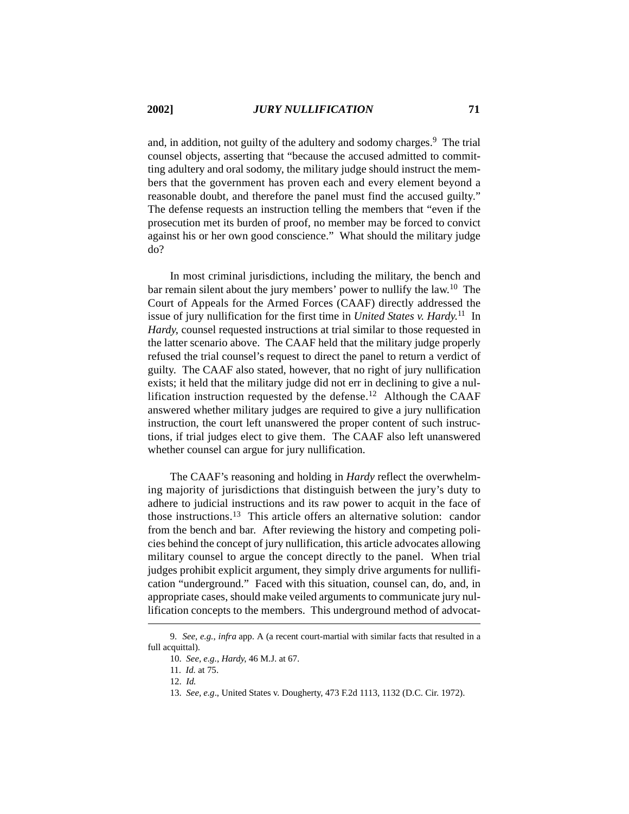and, in addition, not guilty of the adultery and sodomy charges.<sup>9</sup> The trial counsel objects, asserting that "because the accused admitted to committing adultery and oral sodomy, the military judge should instruct the members that the government has proven each and every element beyond a reasonable doubt, and therefore the panel must find the accused guilty." The defense requests an instruction telling the members that "even if the prosecution met its burden of proof, no member may be forced to convict against his or her own good conscience." What should the military judge do?

In most criminal jurisdictions, including the military, the bench and bar remain silent about the jury members' power to nullify the law.10 The Court of Appeals for the Armed Forces (CAAF) directly addressed the issue of jury nullification for the first time in *United States v. Hardy.*11 In *Hardy*, counsel requested instructions at trial similar to those requested in the latter scenario above. The CAAF held that the military judge properly refused the trial counsel's request to direct the panel to return a verdict of guilty. The CAAF also stated, however, that no right of jury nullification exists; it held that the military judge did not err in declining to give a nullification instruction requested by the defense.<sup>12</sup> Although the CAAF answered whether military judges are required to give a jury nullification instruction, the court left unanswered the proper content of such instructions, if trial judges elect to give them. The CAAF also left unanswered whether counsel can argue for jury nullification.

The CAAF's reasoning and holding in *Hardy* reflect the overwhelming majority of jurisdictions that distinguish between the jury's duty to adhere to judicial instructions and its raw power to acquit in the face of those instructions.13 This article offers an alternative solution: candor from the bench and bar. After reviewing the history and competing policies behind the concept of jury nullification, this article advocates allowing military counsel to argue the concept directly to the panel. When trial judges prohibit explicit argument, they simply drive arguments for nullification "underground." Faced with this situation, counsel can, do, and, in appropriate cases, should make veiled arguments to communicate jury nullification concepts to the members. This underground method of advocat-

<sup>9.</sup> *See, e.g.*, *infra* app. A (a recent court-martial with similar facts that resulted in a full acquittal).

<sup>10.</sup> *See, e.g.*, *Hardy*, 46 M.J. at 67.

<sup>11.</sup> *Id.* at 75.

<sup>12.</sup> *Id.*

<sup>13.</sup> *See, e.g*., United States v. Dougherty, 473 F.2d 1113, 1132 (D.C. Cir. 1972).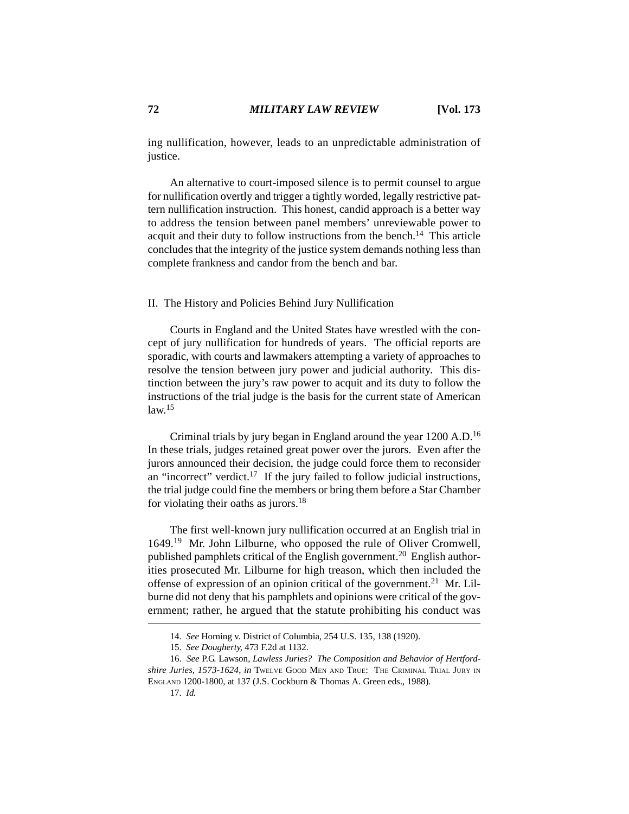ing nullification, however, leads to an unpredictable administration of justice.

An alternative to court-imposed silence is to permit counsel to argue for nullification overtly and trigger a tightly worded, legally restrictive pattern nullification instruction. This honest, candid approach is a better way to address the tension between panel members' unreviewable power to acquit and their duty to follow instructions from the bench.<sup>14</sup> This article concludes that the integrity of the justice system demands nothing less than complete frankness and candor from the bench and bar.

### II. The History and Policies Behind Jury Nullification

Courts in England and the United States have wrestled with the concept of jury nullification for hundreds of years. The official reports are sporadic, with courts and lawmakers attempting a variety of approaches to resolve the tension between jury power and judicial authority. This distinction between the jury's raw power to acquit and its duty to follow the instructions of the trial judge is the basis for the current state of American  $law<sup>15</sup>$ 

Criminal trials by jury began in England around the year 1200 A.D.16 In these trials, judges retained great power over the jurors. Even after the jurors announced their decision, the judge could force them to reconsider an "incorrect" verdict. $17$  If the jury failed to follow judicial instructions, the trial judge could fine the members or bring them before a Star Chamber for violating their oaths as jurors.18

The first well-known jury nullification occurred at an English trial in 1649.19 Mr. John Lilburne, who opposed the rule of Oliver Cromwell, published pamphlets critical of the English government.<sup>20</sup> English authorities prosecuted Mr. Lilburne for high treason, which then included the offense of expression of an opinion critical of the government.<sup>21</sup> Mr. Lilburne did not deny that his pamphlets and opinions were critical of the government; rather, he argued that the statute prohibiting his conduct was

<sup>14.</sup> *See* Horning v. District of Columbia, 254 U.S. 135, 138 (1920).

<sup>15.</sup> *See Dougherty*, 473 F.2d at 1132.

<sup>16.</sup> *See* P.G. Lawson, *Lawless Juries? The Composition and Behavior of Hertfordshire Juries, 1573-1624*, *in* TWELVE GOOD MEN AND TRUE: THE CRIMINAL TRIAL JURY IN ENGLAND 1200-1800, at 137 (J.S. Cockburn & Thomas A. Green eds., 1988).

<sup>17.</sup> *Id.*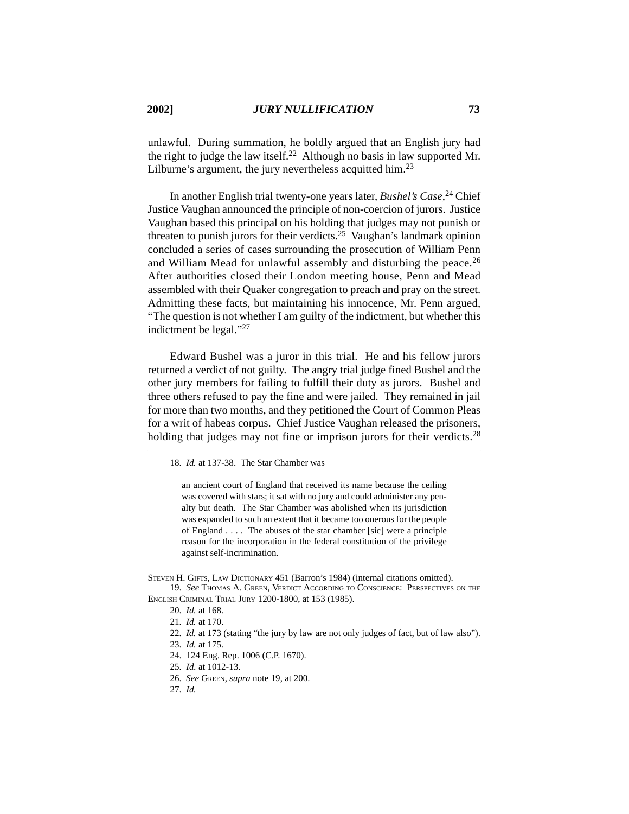unlawful. During summation, he boldly argued that an English jury had the right to judge the law itself.<sup>22</sup> Although no basis in law supported Mr. Lilburne's argument, the jury nevertheless acquitted him.<sup>23</sup>

In another English trial twenty-one years later, *Bushel's Case*, 24 Chief Justice Vaughan announced the principle of non-coercion of jurors. Justice Vaughan based this principal on his holding that judges may not punish or threaten to punish jurors for their verdicts.<sup>25</sup> Vaughan's landmark opinion concluded a series of cases surrounding the prosecution of William Penn and William Mead for unlawful assembly and disturbing the peace.<sup>26</sup> After authorities closed their London meeting house, Penn and Mead assembled with their Quaker congregation to preach and pray on the street. Admitting these facts, but maintaining his innocence, Mr. Penn argued, "The question is not whether I am guilty of the indictment, but whether this indictment be legal." $^{27}$ 

Edward Bushel was a juror in this trial. He and his fellow jurors returned a verdict of not guilty. The angry trial judge fined Bushel and the other jury members for failing to fulfill their duty as jurors. Bushel and three others refused to pay the fine and were jailed. They remained in jail for more than two months, and they petitioned the Court of Common Pleas for a writ of habeas corpus. Chief Justice Vaughan released the prisoners, holding that judges may not fine or imprison jurors for their verdicts.<sup>28</sup>

an ancient court of England that received its name because the ceiling was covered with stars; it sat with no jury and could administer any penalty but death. The Star Chamber was abolished when its jurisdiction was expanded to such an extent that it became too onerous for the people of England . . . . The abuses of the star chamber [sic] were a principle reason for the incorporation in the federal constitution of the privilege against self-incrimination.

19. *See* THOMAS A. GREEN, VERDICT ACCORDING TO CONSCIENCE: PERSPECTIVES ON THE ENGLISH CRIMINAL TRIAL JURY 1200-1800, at 153 (1985).

- 26. *See* GREEN, *supra* note 19, at 200.
- 27. *Id.*

<sup>18.</sup> *Id.* at 137-38. The Star Chamber was

STEVEN H. GIFTS, LAW DICTIONARY 451 (Barron's 1984) (internal citations omitted).

<sup>20.</sup> *Id.* at 168.

<sup>21.</sup> *Id.* at 170.

<sup>22.</sup> *Id.* at 173 (stating "the jury by law are not only judges of fact, but of law also").

<sup>23.</sup> *Id.* at 175.

<sup>24. 124</sup> Eng. Rep. 1006 (C.P. 1670).

<sup>25.</sup> *Id.* at 1012-13.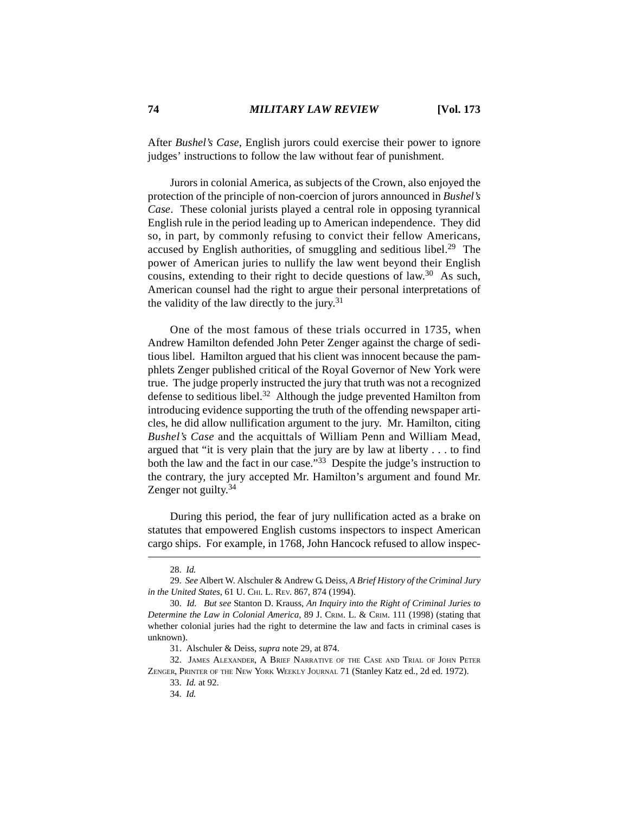After *Bushel's Case*, English jurors could exercise their power to ignore judges' instructions to follow the law without fear of punishment.

Jurors in colonial America, as subjects of the Crown, also enjoyed the protection of the principle of non-coercion of jurors announced in *Bushel's Case*. These colonial jurists played a central role in opposing tyrannical English rule in the period leading up to American independence. They did so, in part, by commonly refusing to convict their fellow Americans, accused by English authorities, of smuggling and seditious libel.<sup>29</sup> The power of American juries to nullify the law went beyond their English cousins, extending to their right to decide questions of law.30 As such, American counsel had the right to argue their personal interpretations of the validity of the law directly to the jury.<sup>31</sup>

One of the most famous of these trials occurred in 1735, when Andrew Hamilton defended John Peter Zenger against the charge of seditious libel. Hamilton argued that his client was innocent because the pamphlets Zenger published critical of the Royal Governor of New York were true. The judge properly instructed the jury that truth was not a recognized defense to seditious libel.<sup>32</sup> Although the judge prevented Hamilton from introducing evidence supporting the truth of the offending newspaper articles, he did allow nullification argument to the jury. Mr. Hamilton, citing *Bushel's Case* and the acquittals of William Penn and William Mead, argued that "it is very plain that the jury are by law at liberty . . . to find both the law and the fact in our case."<sup>33</sup> Despite the judge's instruction to the contrary, the jury accepted Mr. Hamilton's argument and found Mr. Zenger not guilty.<sup>34</sup>

During this period, the fear of jury nullification acted as a brake on statutes that empowered English customs inspectors to inspect American cargo ships. For example, in 1768, John Hancock refused to allow inspec-

31. Alschuler & Deiss, *supra* note 29, at 874.

32. JAMES ALEXANDER, A BRIEF NARRATIVE OF THE CASE AND TRIAL OF JOHN PETER ZENGER, PRINTER OF THE NEW YORK WEEKLY JOURNAL 71 (Stanley Katz ed., 2d ed. 1972).

33. *Id.* at 92.

34. *Id.*

<sup>28.</sup> *Id.*

<sup>29.</sup> *See* Albert W. Alschuler & Andrew G. Deiss, *A Brief History of the Criminal Jury in the United States*, 61 U. CHI. L. REV. 867, 874 (1994).

<sup>30.</sup> *Id. But see* Stanton D. Krauss, *An Inquiry into the Right of Criminal Juries to Determine the Law in Colonial America*, 89 J. CRIM. L. & CRIM. 111 (1998) (stating that whether colonial juries had the right to determine the law and facts in criminal cases is unknown).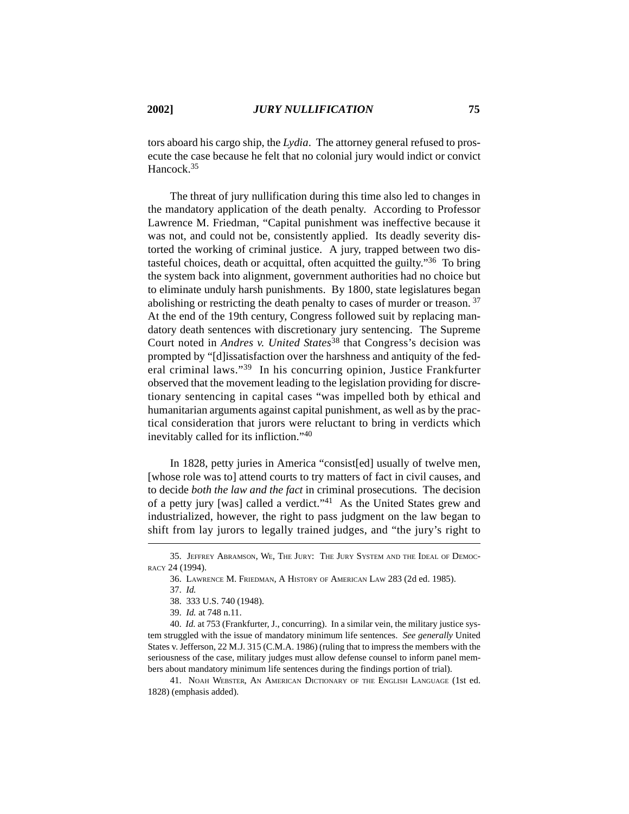tors aboard his cargo ship, the *Lydia*. The attorney general refused to prosecute the case because he felt that no colonial jury would indict or convict Hancock.<sup>35</sup>

The threat of jury nullification during this time also led to changes in the mandatory application of the death penalty. According to Professor Lawrence M. Friedman, "Capital punishment was ineffective because it was not, and could not be, consistently applied. Its deadly severity distorted the working of criminal justice. A jury, trapped between two distasteful choices, death or acquittal, often acquitted the guilty."36 To bring the system back into alignment, government authorities had no choice but to eliminate unduly harsh punishments. By 1800, state legislatures began abolishing or restricting the death penalty to cases of murder or treason.<sup>37</sup> At the end of the 19th century, Congress followed suit by replacing mandatory death sentences with discretionary jury sentencing. The Supreme Court noted in *Andres v. United States*38 that Congress's decision was prompted by "[d]issatisfaction over the harshness and antiquity of the federal criminal laws."39 In his concurring opinion, Justice Frankfurter observed that the movement leading to the legislation providing for discretionary sentencing in capital cases "was impelled both by ethical and humanitarian arguments against capital punishment, as well as by the practical consideration that jurors were reluctant to bring in verdicts which inevitably called for its infliction."40

In 1828, petty juries in America "consist[ed] usually of twelve men, [whose role was to] attend courts to try matters of fact in civil causes, and to decide *both the law and the fact* in criminal prosecutions. The decision of a petty jury [was] called a verdict."41 As the United States grew and industrialized, however, the right to pass judgment on the law began to shift from lay jurors to legally trained judges, and "the jury's right to

<sup>35.</sup> JEFFREY ABRAMSON, WE, THE JURY: THE JURY SYSTEM AND THE IDEAL OF DEMOC-RACY 24 (1994).

<sup>36.</sup> LAWRENCE M. FRIEDMAN, A HISTORY OF AMERICAN LAW 283 (2d ed. 1985).

<sup>37.</sup> *Id.*

<sup>38. 333</sup> U.S. 740 (1948).

<sup>39.</sup> *Id.* at 748 n.11.

<sup>40.</sup> *Id.* at 753 (Frankfurter, J., concurring). In a similar vein, the military justice system struggled with the issue of mandatory minimum life sentences. *See generally* United States v. Jefferson, 22 M.J. 315 (C.M.A. 1986) (ruling that to impress the members with the seriousness of the case, military judges must allow defense counsel to inform panel members about mandatory minimum life sentences during the findings portion of trial).

<sup>41.</sup> NOAH WEBSTER, AN AMERICAN DICTIONARY OF THE ENGLISH LANGUAGE (1st ed. 1828) (emphasis added).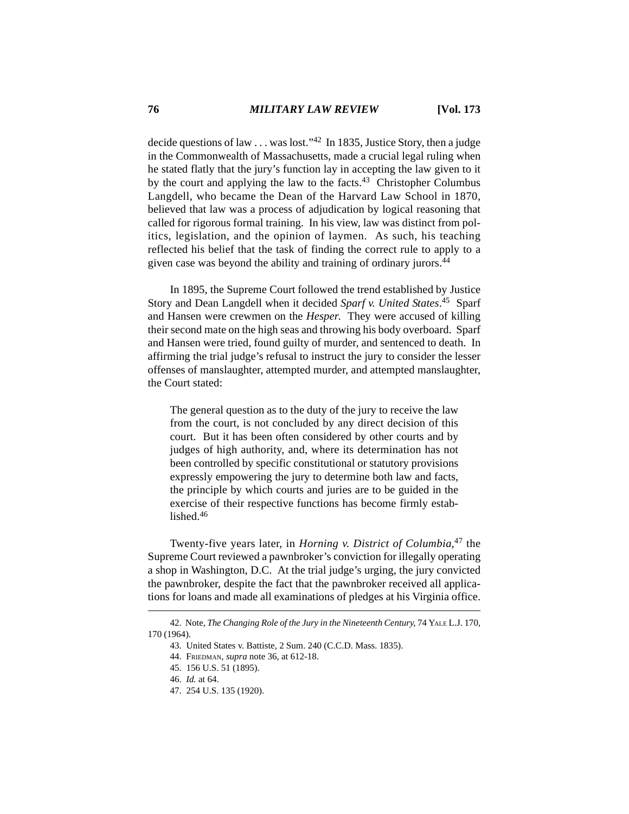decide questions of law . . . was lost."42 In 1835, Justice Story, then a judge in the Commonwealth of Massachusetts, made a crucial legal ruling when he stated flatly that the jury's function lay in accepting the law given to it by the court and applying the law to the facts.43 Christopher Columbus Langdell, who became the Dean of the Harvard Law School in 1870, believed that law was a process of adjudication by logical reasoning that called for rigorous formal training. In his view, law was distinct from politics, legislation, and the opinion of laymen. As such, his teaching reflected his belief that the task of finding the correct rule to apply to a given case was beyond the ability and training of ordinary jurors.<sup>44</sup>

In 1895, the Supreme Court followed the trend established by Justice Story and Dean Langdell when it decided *Sparf v. United States*. 45 Sparf and Hansen were crewmen on the *Hesper*. They were accused of killing their second mate on the high seas and throwing his body overboard. Sparf and Hansen were tried, found guilty of murder, and sentenced to death. In affirming the trial judge's refusal to instruct the jury to consider the lesser offenses of manslaughter, attempted murder, and attempted manslaughter, the Court stated:

The general question as to the duty of the jury to receive the law from the court, is not concluded by any direct decision of this court. But it has been often considered by other courts and by judges of high authority, and, where its determination has not been controlled by specific constitutional or statutory provisions expressly empowering the jury to determine both law and facts, the principle by which courts and juries are to be guided in the exercise of their respective functions has become firmly established.<sup>46</sup>

Twenty-five years later, in *Horning v. District of Columbia*, 47 the Supreme Court reviewed a pawnbroker's conviction for illegally operating a shop in Washington, D.C. At the trial judge's urging, the jury convicted the pawnbroker, despite the fact that the pawnbroker received all applications for loans and made all examinations of pledges at his Virginia office.

<sup>42.</sup> Note, *The Changing Role of the Jury in the Nineteenth Century*, 74 YALE L.J. 170, 170 (1964).

<sup>43.</sup> United States v. Battiste, 2 Sum. 240 (C.C.D. Mass. 1835).

<sup>44.</sup> FRIEDMAN, *supra* note 36, at 612-18.

<sup>45. 156</sup> U.S. 51 (1895).

<sup>46.</sup> *Id.* at 64.

<sup>47. 254</sup> U.S. 135 (1920).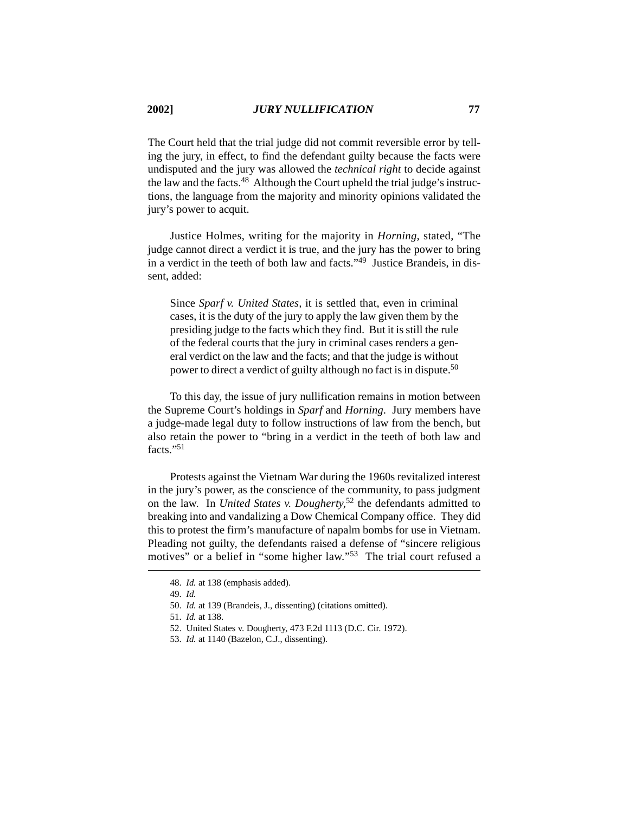The Court held that the trial judge did not commit reversible error by telling the jury, in effect, to find the defendant guilty because the facts were undisputed and the jury was allowed the *technical right* to decide against the law and the facts.48 Although the Court upheld the trial judge's instructions, the language from the majority and minority opinions validated the jury's power to acquit.

Justice Holmes, writing for the majority in *Horning*, stated, "The judge cannot direct a verdict it is true, and the jury has the power to bring in a verdict in the teeth of both law and facts."49 Justice Brandeis, in dissent, added:

Since *Sparf v. United States,* it is settled that, even in criminal cases, it is the duty of the jury to apply the law given them by the presiding judge to the facts which they find. But it is still the rule of the federal courts that the jury in criminal cases renders a general verdict on the law and the facts; and that the judge is without power to direct a verdict of guilty although no fact is in dispute.50

To this day, the issue of jury nullification remains in motion between the Supreme Court's holdings in *Sparf* and *Horning*. Jury members have a judge-made legal duty to follow instructions of law from the bench, but also retain the power to "bring in a verdict in the teeth of both law and facts."51

Protests against the Vietnam War during the 1960s revitalized interest in the jury's power, as the conscience of the community, to pass judgment on the law. In *United States v. Dougherty*, 52 the defendants admitted to breaking into and vandalizing a Dow Chemical Company office. They did this to protest the firm's manufacture of napalm bombs for use in Vietnam. Pleading not guilty, the defendants raised a defense of "sincere religious motives" or a belief in "some higher law."53 The trial court refused a

<sup>48.</sup> *Id.* at 138 (emphasis added).

<sup>49.</sup> *Id.*

<sup>50.</sup> *Id.* at 139 (Brandeis, J., dissenting) (citations omitted).

<sup>51.</sup> *Id.* at 138.

<sup>52.</sup> United States v. Dougherty, 473 F.2d 1113 (D.C. Cir. 1972).

<sup>53.</sup> *Id.* at 1140 (Bazelon, C.J., dissenting).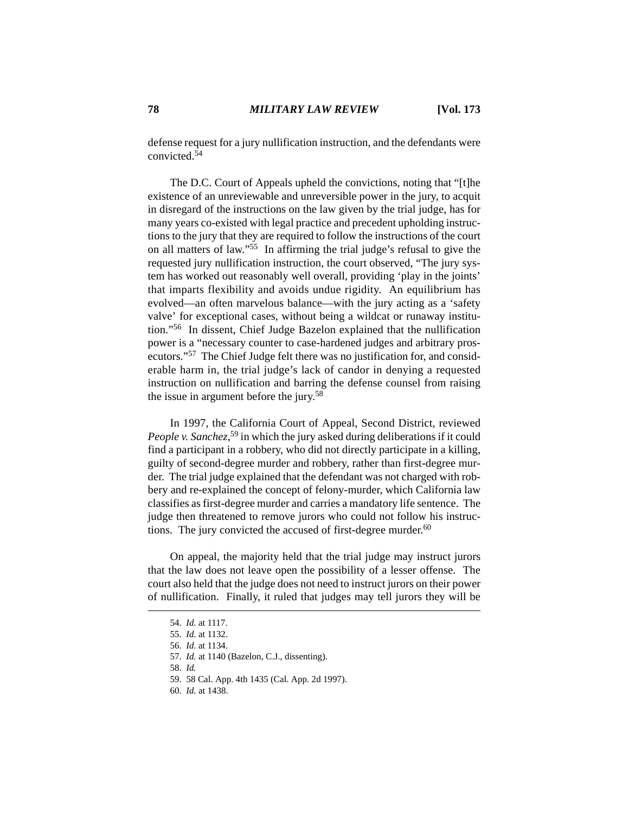defense request for a jury nullification instruction, and the defendants were convicted.54

The D.C. Court of Appeals upheld the convictions, noting that "[t]he existence of an unreviewable and unreversible power in the jury, to acquit in disregard of the instructions on the law given by the trial judge, has for many years co-existed with legal practice and precedent upholding instructions to the jury that they are required to follow the instructions of the court on all matters of law."<sup>55</sup> In affirming the trial judge's refusal to give the requested jury nullification instruction, the court observed, "The jury system has worked out reasonably well overall, providing 'play in the joints' that imparts flexibility and avoids undue rigidity. An equilibrium has evolved—an often marvelous balance—with the jury acting as a 'safety valve' for exceptional cases, without being a wildcat or runaway institution."56 In dissent, Chief Judge Bazelon explained that the nullification power is a "necessary counter to case-hardened judges and arbitrary prosecutors."57 The Chief Judge felt there was no justification for, and considerable harm in, the trial judge's lack of candor in denying a requested instruction on nullification and barring the defense counsel from raising the issue in argument before the jury.58

In 1997, the California Court of Appeal, Second District, reviewed People v. Sanchez,<sup>59</sup> in which the jury asked during deliberations if it could find a participant in a robbery, who did not directly participate in a killing, guilty of second-degree murder and robbery, rather than first-degree murder. The trial judge explained that the defendant was not charged with robbery and re-explained the concept of felony-murder, which California law classifies as first-degree murder and carries a mandatory life sentence. The judge then threatened to remove jurors who could not follow his instructions. The jury convicted the accused of first-degree murder. $60$ 

On appeal, the majority held that the trial judge may instruct jurors that the law does not leave open the possibility of a lesser offense. The court also held that the judge does not need to instruct jurors on their power of nullification. Finally, it ruled that judges may tell jurors they will be

60. *Id.* at 1438.

<sup>54.</sup> *Id.* at 1117.

<sup>55.</sup> *Id.* at 1132.

<sup>56.</sup> *Id.* at 1134.

<sup>57.</sup> *Id.* at 1140 (Bazelon, C.J., dissenting).

<sup>58.</sup> *Id.*

<sup>59. 58</sup> Cal. App. 4th 1435 (Cal. App. 2d 1997).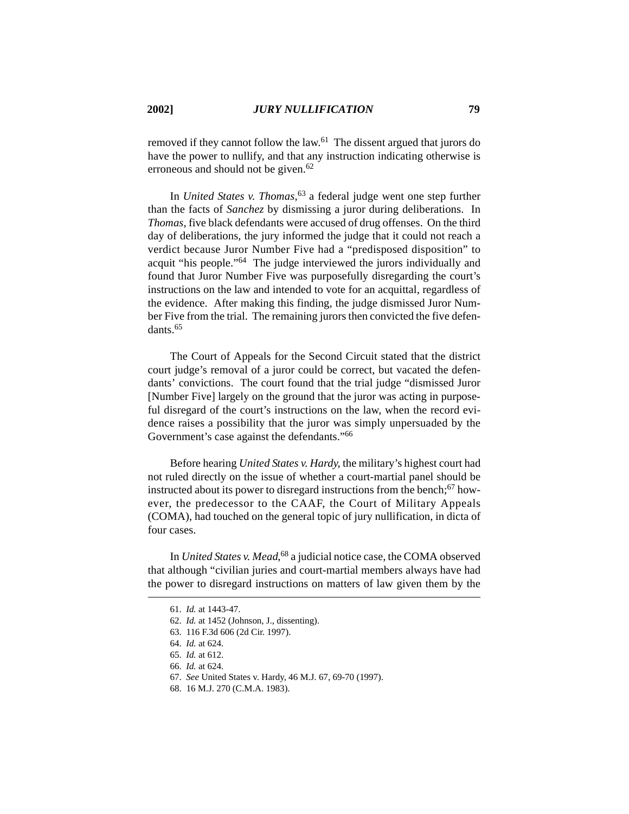removed if they cannot follow the law.61 The dissent argued that jurors do have the power to nullify, and that any instruction indicating otherwise is erroneous and should not be given.<sup>62</sup>

In *United States v. Thomas*, 63 a federal judge went one step further than the facts of *Sanchez* by dismissing a juror during deliberations. In *Thomas*, five black defendants were accused of drug offenses. On the third day of deliberations, the jury informed the judge that it could not reach a verdict because Juror Number Five had a "predisposed disposition" to acquit "his people."64 The judge interviewed the jurors individually and found that Juror Number Five was purposefully disregarding the court's instructions on the law and intended to vote for an acquittal, regardless of the evidence. After making this finding, the judge dismissed Juror Number Five from the trial. The remaining jurors then convicted the five defendants<sup>65</sup>

The Court of Appeals for the Second Circuit stated that the district court judge's removal of a juror could be correct, but vacated the defendants' convictions. The court found that the trial judge "dismissed Juror [Number Five] largely on the ground that the juror was acting in purposeful disregard of the court's instructions on the law, when the record evidence raises a possibility that the juror was simply unpersuaded by the Government's case against the defendants."<sup>66</sup>

Before hearing *United States v. Hardy*, the military's highest court had not ruled directly on the issue of whether a court-martial panel should be instructed about its power to disregard instructions from the bench; $\frac{67}{ }$  however, the predecessor to the CAAF, the Court of Military Appeals (COMA), had touched on the general topic of jury nullification, in dicta of four cases.

In *United States v. Mead*, 68 a judicial notice case, the COMA observed that although "civilian juries and court-martial members always have had the power to disregard instructions on matters of law given them by the

<sup>61.</sup> *Id.* at 1443-47.

<sup>62.</sup> *Id.* at 1452 (Johnson, J., dissenting).

<sup>63. 116</sup> F.3d 606 (2d Cir. 1997).

<sup>64.</sup> *Id.* at 624.

<sup>65.</sup> *Id.* at 612.

<sup>66.</sup> *Id.* at 624.

<sup>67.</sup> *See* United States v. Hardy, 46 M.J. 67, 69-70 (1997).

<sup>68. 16</sup> M.J. 270 (C.M.A. 1983).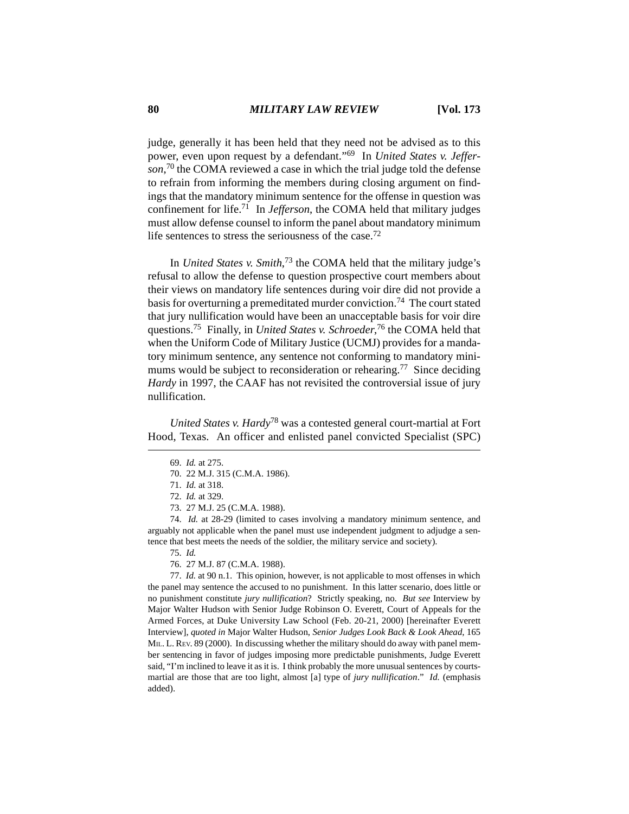judge, generally it has been held that they need not be advised as to this power, even upon request by a defendant."69 In *United States v. Jefferson*, 70 the COMA reviewed a case in which the trial judge told the defense to refrain from informing the members during closing argument on findings that the mandatory minimum sentence for the offense in question was confinement for life.71 In *Jefferson*, the COMA held that military judges must allow defense counsel to inform the panel about mandatory minimum life sentences to stress the seriousness of the case.<sup>72</sup>

In *United States v. Smith*, 73 the COMA held that the military judge's refusal to allow the defense to question prospective court members about their views on mandatory life sentences during voir dire did not provide a basis for overturning a premeditated murder conviction.74 The court stated that jury nullification would have been an unacceptable basis for voir dire questions.75 Finally, in *United States v. Schroeder*, 76 the COMA held that when the Uniform Code of Military Justice (UCMJ) provides for a mandatory minimum sentence, any sentence not conforming to mandatory minimums would be subject to reconsideration or rehearing.<sup>77</sup> Since deciding *Hardy* in 1997, the CAAF has not revisited the controversial issue of jury nullification.

*United States v. Hardy*78 was a contested general court-martial at Fort Hood, Texas. An officer and enlisted panel convicted Specialist (SPC)

73. 27 M.J. 25 (C.M.A. 1988).

74. *Id.* at 28-29 (limited to cases involving a mandatory minimum sentence, and arguably not applicable when the panel must use independent judgment to adjudge a sentence that best meets the needs of the soldier, the military service and society).

75. *Id.*

76. 27 M.J. 87 (C.M.A. 1988).

77. *Id.* at 90 n.1. This opinion, however, is not applicable to most offenses in which the panel may sentence the accused to no punishment. In this latter scenario, does little or no punishment constitute *jury nullification*? Strictly speaking, no. *But see* Interview by Major Walter Hudson with Senior Judge Robinson O. Everett, Court of Appeals for the Armed Forces, at Duke University Law School (Feb. 20-21, 2000) [hereinafter Everett Interview], *quoted in* Major Walter Hudson, *Senior Judges Look Back & Look Ahead*, 165 MIL. L. REV. 89 (2000). In discussing whether the military should do away with panel member sentencing in favor of judges imposing more predictable punishments, Judge Everett said, "I'm inclined to leave it as it is. I think probably the more unusual sentences by courtsmartial are those that are too light, almost [a] type of *jury nullification*." *Id.* (emphasis added).

<sup>69.</sup> *Id.* at 275.

<sup>70. 22</sup> M.J. 315 (C.M.A. 1986).

<sup>71.</sup> *Id.* at 318.

<sup>72.</sup> *Id.* at 329.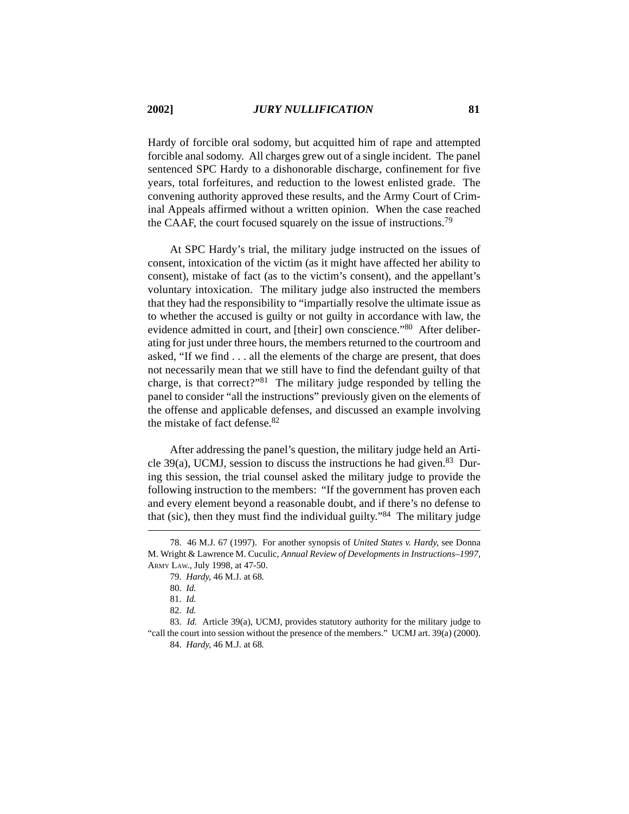Hardy of forcible oral sodomy, but acquitted him of rape and attempted forcible anal sodomy. All charges grew out of a single incident. The panel sentenced SPC Hardy to a dishonorable discharge, confinement for five years, total forfeitures, and reduction to the lowest enlisted grade. The convening authority approved these results, and the Army Court of Criminal Appeals affirmed without a written opinion. When the case reached the CAAF, the court focused squarely on the issue of instructions.79

At SPC Hardy's trial, the military judge instructed on the issues of consent, intoxication of the victim (as it might have affected her ability to consent), mistake of fact (as to the victim's consent), and the appellant's voluntary intoxication. The military judge also instructed the members that they had the responsibility to "impartially resolve the ultimate issue as to whether the accused is guilty or not guilty in accordance with law, the evidence admitted in court, and [their] own conscience."80 After deliberating for just under three hours, the members returned to the courtroom and asked, "If we find . . . all the elements of the charge are present, that does not necessarily mean that we still have to find the defendant guilty of that charge, is that correct?"81 The military judge responded by telling the panel to consider "all the instructions" previously given on the elements of the offense and applicable defenses, and discussed an example involving the mistake of fact defense.82

After addressing the panel's question, the military judge held an Article 39(a), UCMJ, session to discuss the instructions he had given.<sup>83</sup> During this session, the trial counsel asked the military judge to provide the following instruction to the members: "If the government has proven each and every element beyond a reasonable doubt, and if there's no defense to that (sic), then they must find the individual guilty."84 The military judge

<sup>78. 46</sup> M.J. 67 (1997). For another synopsis of *United States v. Hardy*, see Donna M. Wright & Lawrence M. Cuculic, *Annual Review of Developments in Instructions–1997*, ARMY LAW., July 1998, at 47-50.

<sup>79.</sup> *Hardy*, 46 M.J. at 68*.*

<sup>80.</sup> *Id.*

<sup>81.</sup> *Id.*

<sup>82.</sup> *Id.*

<sup>83.</sup> *Id.* Article 39(a), UCMJ, provides statutory authority for the military judge to "call the court into session without the presence of the members."UCMJ art. 39(a) (2000). 84. *Hardy*, 46 M.J. at 68*.*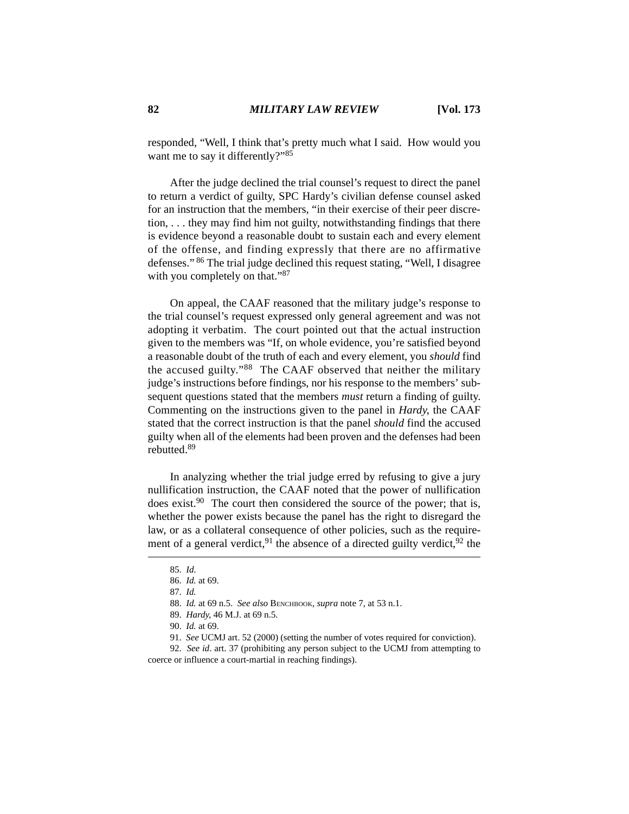responded, "Well, I think that's pretty much what I said. How would you want me to say it differently?"<sup>85</sup>

After the judge declined the trial counsel's request to direct the panel to return a verdict of guilty, SPC Hardy's civilian defense counsel asked for an instruction that the members, "in their exercise of their peer discretion, . . . they may find him not guilty, notwithstanding findings that there is evidence beyond a reasonable doubt to sustain each and every element of the offense, and finding expressly that there are no affirmative defenses." 86 The trial judge declined this request stating, "Well, I disagree with you completely on that."<sup>87</sup>

On appeal, the CAAF reasoned that the military judge's response to the trial counsel's request expressed only general agreement and was not adopting it verbatim. The court pointed out that the actual instruction given to the members was "If, on whole evidence, you're satisfied beyond a reasonable doubt of the truth of each and every element, you *should* find the accused guilty."88 The CAAF observed that neither the military judge's instructions before findings, nor his response to the members' subsequent questions stated that the members *must* return a finding of guilty. Commenting on the instructions given to the panel in *Hardy*, the CAAF stated that the correct instruction is that the panel *should* find the accused guilty when all of the elements had been proven and the defenses had been rebutted.89

In analyzing whether the trial judge erred by refusing to give a jury nullification instruction, the CAAF noted that the power of nullification does exist.<sup>90</sup> The court then considered the source of the power; that is, whether the power exists because the panel has the right to disregard the law, or as a collateral consequence of other policies, such as the requirement of a general verdict,  $91$  the absence of a directed guilty verdict,  $92$  the

89. *Hardy*, 46 M.J. at 69 n.5*.*

<sup>85.</sup> *Id*.

<sup>86.</sup> *Id.* at 69.

<sup>87.</sup> *Id.*

<sup>88.</sup> *Id.* at 69 n.5. *See also* BENCHBOOK, *supra* note 7, at 53 n.1.

<sup>90.</sup> *Id.* at 69.

<sup>91.</sup> *See* UCMJ art. 52 (2000) (setting the number of votes required for conviction).

<sup>92.</sup> *See id*. art. 37 (prohibiting any person subject to the UCMJ from attempting to coerce or influence a court-martial in reaching findings).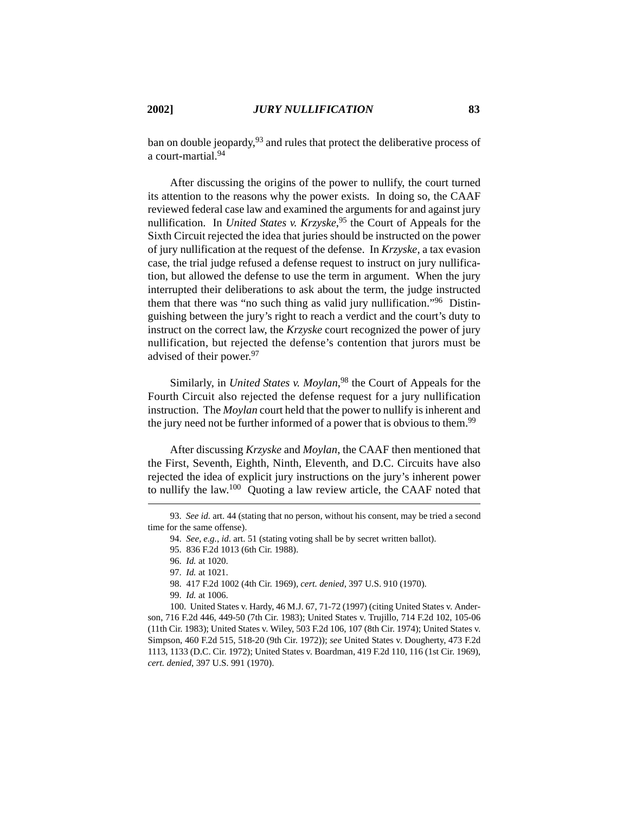ban on double jeopardy,  $93$  and rules that protect the deliberative process of a court-martial 94

After discussing the origins of the power to nullify, the court turned its attention to the reasons why the power exists. In doing so, the CAAF reviewed federal case law and examined the arguments for and against jury nullification. In *United States v. Krzyske*, 95 the Court of Appeals for the Sixth Circuit rejected the idea that juries should be instructed on the power of jury nullification at the request of the defense. In *Krzyske*, a tax evasion case, the trial judge refused a defense request to instruct on jury nullification, but allowed the defense to use the term in argument. When the jury interrupted their deliberations to ask about the term, the judge instructed them that there was "no such thing as valid jury nullification."<sup>96</sup> Distinguishing between the jury's right to reach a verdict and the court's duty to instruct on the correct law, the *Krzyske* court recognized the power of jury nullification, but rejected the defense's contention that jurors must be advised of their power.<sup>97</sup>

Similarly, in *United States v. Moylan*, 98 the Court of Appeals for the Fourth Circuit also rejected the defense request for a jury nullification instruction. The *Moylan* court held that the power to nullify is inherent and the jury need not be further informed of a power that is obvious to them.<sup>99</sup>

After discussing *Krzyske* and *Moylan*, the CAAF then mentioned that the First, Seventh, Eighth, Ninth, Eleventh, and D.C. Circuits have also rejected the idea of explicit jury instructions on the jury's inherent power to nullify the law.100 Quoting a law review article, the CAAF noted that

100. United States v. Hardy, 46 M.J. 67, 71-72 (1997) (citing United States v. Anderson, 716 F.2d 446, 449-50 (7th Cir. 1983); United States v. Trujillo, 714 F.2d 102, 105-06 (11th Cir. 1983); United States v. Wiley, 503 F.2d 106, 107 (8th Cir. 1974); United States v. Simpson, 460 F.2d 515, 518-20 (9th Cir. 1972)); *see* United States v. Dougherty, 473 F.2d 1113, 1133 (D.C. Cir. 1972); United States v. Boardman, 419 F.2d 110, 116 (1st Cir. 1969), *cert. denied*, 397 U.S. 991 (1970).

<sup>93.</sup> *See id.* art. 44 (stating that no person, without his consent, may be tried a second time for the same offense).

<sup>94.</sup> *See, e.g.*, *id*. art. 51 (stating voting shall be by secret written ballot).

<sup>95. 836</sup> F.2d 1013 (6th Cir. 1988).

<sup>96.</sup> *Id.* at 1020.

<sup>97.</sup> *Id.* at 1021.

<sup>98. 417</sup> F.2d 1002 (4th Cir. 1969), *cert. denied*, 397 U.S. 910 (1970).

<sup>99.</sup> *Id.* at 1006.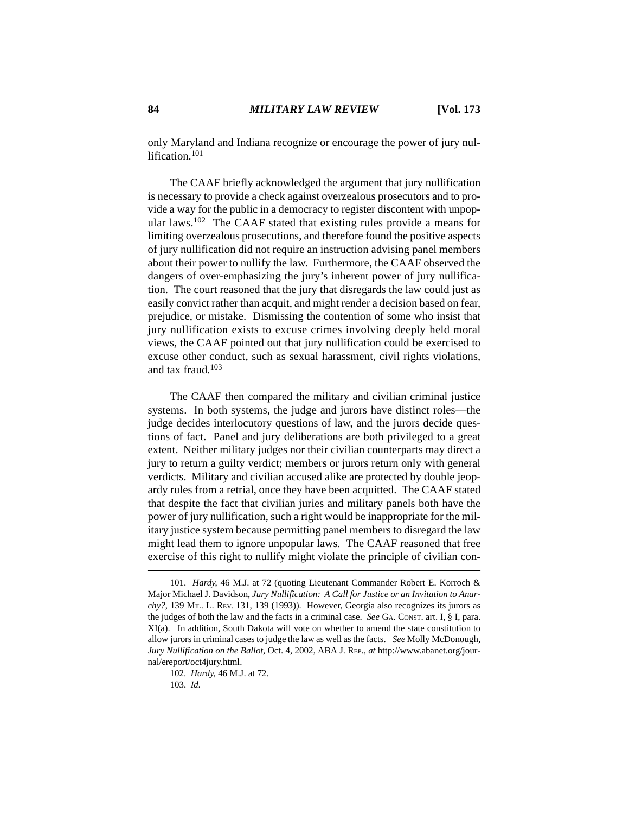only Maryland and Indiana recognize or encourage the power of jury nullification<sup>101</sup>

The CAAF briefly acknowledged the argument that jury nullification is necessary to provide a check against overzealous prosecutors and to provide a way for the public in a democracy to register discontent with unpopular laws.102 The CAAF stated that existing rules provide a means for limiting overzealous prosecutions, and therefore found the positive aspects of jury nullification did not require an instruction advising panel members about their power to nullify the law. Furthermore, the CAAF observed the dangers of over-emphasizing the jury's inherent power of jury nullification. The court reasoned that the jury that disregards the law could just as easily convict rather than acquit, and might render a decision based on fear, prejudice, or mistake. Dismissing the contention of some who insist that jury nullification exists to excuse crimes involving deeply held moral views, the CAAF pointed out that jury nullification could be exercised to excuse other conduct, such as sexual harassment, civil rights violations, and tax fraud.<sup>103</sup>

The CAAF then compared the military and civilian criminal justice systems. In both systems, the judge and jurors have distinct roles—the judge decides interlocutory questions of law, and the jurors decide questions of fact. Panel and jury deliberations are both privileged to a great extent. Neither military judges nor their civilian counterparts may direct a jury to return a guilty verdict; members or jurors return only with general verdicts. Military and civilian accused alike are protected by double jeopardy rules from a retrial, once they have been acquitted. The CAAF stated that despite the fact that civilian juries and military panels both have the power of jury nullification, such a right would be inappropriate for the military justice system because permitting panel members to disregard the law might lead them to ignore unpopular laws. The CAAF reasoned that free exercise of this right to nullify might violate the principle of civilian con-

<sup>101.</sup> *Hardy*, 46 M.J. at 72 (quoting Lieutenant Commander Robert E. Korroch & Major Michael J. Davidson, *Jury Nullification: A Call for Justice or an Invitation to Anarchy?*, 139 MIL. L. REV. 131, 139 (1993)). However, Georgia also recognizes its jurors as the judges of both the law and the facts in a criminal case. *See* GA. CONST. art. I, § I, para. XI(a). In addition, South Dakota will vote on whether to amend the state constitution to allow jurors in criminal cases to judge the law as well as the facts. *See* Molly McDonough, *Jury Nullification on the Ballot*, Oct. 4, 2002, ABA J. REP., *at* http://www.abanet.org/journal/ereport/oct4jury.html.

<sup>102.</sup> *Hardy*, 46 M.J. at 72.

<sup>103.</sup> *Id.*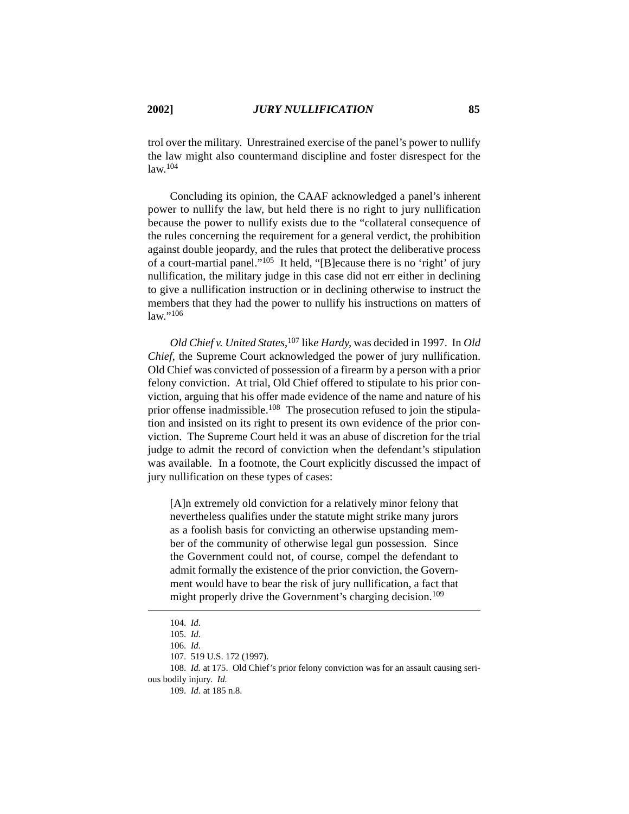trol over the military. Unrestrained exercise of the panel's power to nullify the law might also countermand discipline and foster disrespect for the law.<sup>104</sup>

Concluding its opinion, the CAAF acknowledged a panel's inherent power to nullify the law, but held there is no right to jury nullification because the power to nullify exists due to the "collateral consequence of the rules concerning the requirement for a general verdict, the prohibition against double jeopardy, and the rules that protect the deliberative process of a court-martial panel."105 It held, "[B]ecause there is no 'right' of jury nullification, the military judge in this case did not err either in declining to give a nullification instruction or in declining otherwise to instruct the members that they had the power to nullify his instructions on matters of law."106

*Old Chief v. United States*, <sup>107</sup> lik*e Hardy,* was decided in 1997. In *Old Chief*, the Supreme Court acknowledged the power of jury nullification. Old Chief was convicted of possession of a firearm by a person with a prior felony conviction. At trial, Old Chief offered to stipulate to his prior conviction, arguing that his offer made evidence of the name and nature of his prior offense inadmissible.<sup>108</sup> The prosecution refused to join the stipulation and insisted on its right to present its own evidence of the prior conviction. The Supreme Court held it was an abuse of discretion for the trial judge to admit the record of conviction when the defendant's stipulation was available. In a footnote, the Court explicitly discussed the impact of jury nullification on these types of cases:

[A]n extremely old conviction for a relatively minor felony that nevertheless qualifies under the statute might strike many jurors as a foolish basis for convicting an otherwise upstanding member of the community of otherwise legal gun possession. Since the Government could not, of course, compel the defendant to admit formally the existence of the prior conviction, the Government would have to bear the risk of jury nullification, a fact that might properly drive the Government's charging decision.<sup>109</sup>

106. *Id.*

108. *Id.* at 175. Old Chief's prior felony conviction was for an assault causing serious bodily injury. *Id.*

109. *Id.* at 185 n.8.

<sup>104.</sup> *Id.*

<sup>105.</sup> *Id.*

<sup>107. 519</sup> U.S. 172 (1997).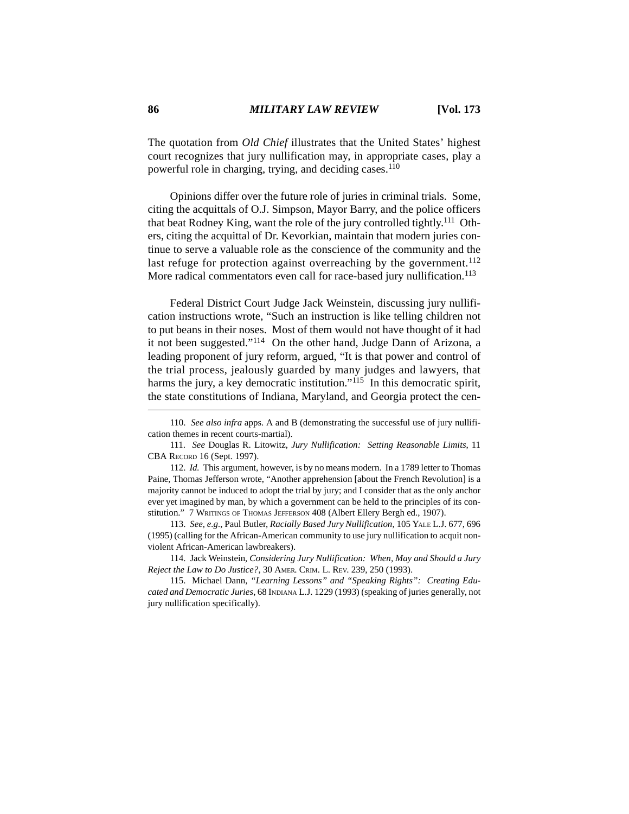The quotation from *Old Chief* illustrates that the United States' highest court recognizes that jury nullification may, in appropriate cases, play a powerful role in charging, trying, and deciding cases.<sup>110</sup>

Opinions differ over the future role of juries in criminal trials. Some, citing the acquittals of O.J. Simpson, Mayor Barry, and the police officers that beat Rodney King, want the role of the jury controlled tightly.<sup>111</sup> Others, citing the acquittal of Dr. Kevorkian, maintain that modern juries continue to serve a valuable role as the conscience of the community and the last refuge for protection against overreaching by the government.<sup>112</sup> More radical commentators even call for race-based jury nullification.<sup>113</sup>

Federal District Court Judge Jack Weinstein, discussing jury nullification instructions wrote, "Such an instruction is like telling children not to put beans in their noses. Most of them would not have thought of it had it not been suggested."114 On the other hand, Judge Dann of Arizona, a leading proponent of jury reform, argued, "It is that power and control of the trial process, jealously guarded by many judges and lawyers, that harms the jury, a key democratic institution."<sup>115</sup> In this democratic spirit, the state constitutions of Indiana, Maryland, and Georgia protect the cen-

113. *See, e.g.*, Paul Butler, *Racially Based Jury Nullification*, 105 YALE L.J. 677, 696 (1995) (calling for the African-American community to use jury nullification to acquit nonviolent African-American lawbreakers).

114. Jack Weinstein, *Considering Jury Nullification: When, May and Should a Jury Reject the Law to Do Justice?*, 30 AMER. CRIM. L. REV. 239, 250 (1993).

115. Michael Dann, *"Learning Lessons" and "Speaking Rights": Creating Educated and Democratic Juries*, 68 INDIANA L.J. 1229 (1993) (speaking of juries generally, not jury nullification specifically).

<sup>110.</sup> *See also infra* apps. A and B (demonstrating the successful use of jury nullification themes in recent courts-martial).

<sup>111.</sup> *See* Douglas R. Litowitz, *Jury Nullification: Setting Reasonable Limits*, 11 CBA RECORD 16 (Sept. 1997).

<sup>112.</sup> *Id.* This argument, however, is by no means modern. In a 1789 letter to Thomas Paine, Thomas Jefferson wrote, "Another apprehension [about the French Revolution] is a majority cannot be induced to adopt the trial by jury; and I consider that as the only anchor ever yet imagined by man, by which a government can be held to the principles of its constitution." 7 WRITINGS OF THOMAS JEFFERSON 408 (Albert Ellery Bergh ed., 1907).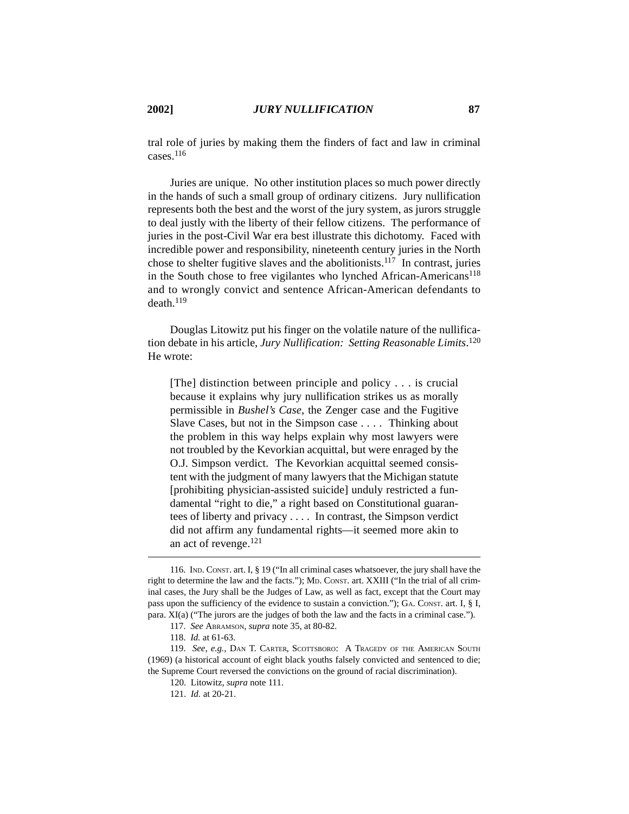tral role of juries by making them the finders of fact and law in criminal cases.116

Juries are unique. No other institution places so much power directly in the hands of such a small group of ordinary citizens. Jury nullification represents both the best and the worst of the jury system, as jurors struggle to deal justly with the liberty of their fellow citizens. The performance of juries in the post-Civil War era best illustrate this dichotomy. Faced with incredible power and responsibility, nineteenth century juries in the North chose to shelter fugitive slaves and the abolitionists.<sup>117</sup> In contrast, juries in the South chose to free vigilantes who lynched African-Americans<sup>118</sup> and to wrongly convict and sentence African-American defendants to death.119

Douglas Litowitz put his finger on the volatile nature of the nullification debate in his article, *Jury Nullification: Setting Reasonable Limits*. 120 He wrote:

[The] distinction between principle and policy . . . is crucial because it explains why jury nullification strikes us as morally permissible in *Bushel's Case*, the Zenger case and the Fugitive Slave Cases, but not in the Simpson case . . . . Thinking about the problem in this way helps explain why most lawyers were not troubled by the Kevorkian acquittal, but were enraged by the O.J. Simpson verdict. The Kevorkian acquittal seemed consistent with the judgment of many lawyers that the Michigan statute [prohibiting physician-assisted suicide] unduly restricted a fundamental "right to die," a right based on Constitutional guarantees of liberty and privacy . . . . In contrast, the Simpson verdict did not affirm any fundamental rights—it seemed more akin to an act of revenge.121

<sup>116.</sup> IND. CONST. art. I, § 19 ("In all criminal cases whatsoever, the jury shall have the right to determine the law and the facts."); MD. CONST. art. XXIII ("In the trial of all criminal cases, the Jury shall be the Judges of Law, as well as fact, except that the Court may pass upon the sufficiency of the evidence to sustain a conviction."); GA. CONST. art. I, § I, para. XI(a) ("The jurors are the judges of both the law and the facts in a criminal case.").

<sup>117.</sup> *See* ABRAMSON, *supra* note 35, at 80-82.

<sup>118.</sup> *Id.* at 61-63.

<sup>119.</sup> *See, e.g.*, DAN T. CARTER, SCOTTSBORO: A TRAGEDY OF THE AMERICAN SOUTH (1969) (a historical account of eight black youths falsely convicted and sentenced to die; the Supreme Court reversed the convictions on the ground of racial discrimination).

<sup>120.</sup> Litowitz, *supra* note 111.

<sup>121.</sup> *Id.* at 20-21.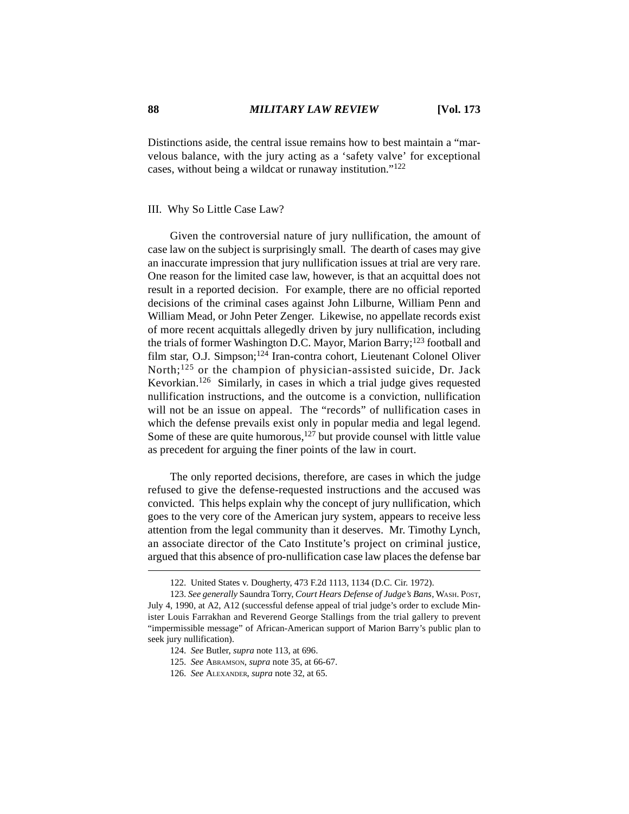Distinctions aside, the central issue remains how to best maintain a "marvelous balance, with the jury acting as a 'safety valve' for exceptional cases, without being a wildcat or runaway institution."122

### III. Why So Little Case Law?

Given the controversial nature of jury nullification, the amount of case law on the subject is surprisingly small. The dearth of cases may give an inaccurate impression that jury nullification issues at trial are very rare. One reason for the limited case law, however, is that an acquittal does not result in a reported decision. For example, there are no official reported decisions of the criminal cases against John Lilburne, William Penn and William Mead, or John Peter Zenger. Likewise, no appellate records exist of more recent acquittals allegedly driven by jury nullification, including the trials of former Washington D.C. Mayor, Marion Barry;<sup>123</sup> football and film star, O.J. Simpson;124 Iran-contra cohort, Lieutenant Colonel Oliver North;<sup>125</sup> or the champion of physician-assisted suicide, Dr. Jack Kevorkian.126 Similarly, in cases in which a trial judge gives requested nullification instructions, and the outcome is a conviction, nullification will not be an issue on appeal. The "records" of nullification cases in which the defense prevails exist only in popular media and legal legend. Some of these are quite humorous,  $127$  but provide counsel with little value as precedent for arguing the finer points of the law in court.

The only reported decisions, therefore, are cases in which the judge refused to give the defense-requested instructions and the accused was convicted. This helps explain why the concept of jury nullification, which goes to the very core of the American jury system, appears to receive less attention from the legal community than it deserves. Mr. Timothy Lynch, an associate director of the Cato Institute's project on criminal justice, argued that this absence of pro-nullification case law places the defense bar

<sup>122.</sup> United States v. Dougherty, 473 F.2d 1113, 1134 (D.C. Cir. 1972).

<sup>123.</sup> *See generally* Saundra Torry, *Court Hears Defense of Judge's Bans*, WASH. POST, July 4, 1990, at A2, A12 (successful defense appeal of trial judge's order to exclude Minister Louis Farrakhan and Reverend George Stallings from the trial gallery to prevent "impermissible message" of African-American support of Marion Barry's public plan to seek jury nullification).

<sup>124.</sup> *See* Butler, *supra* note 113, at 696.

<sup>125.</sup> *See* ABRAMSON, *supra* note 35, at 66-67.

<sup>126.</sup> *See* ALEXANDER, *supra* note 32, at 65.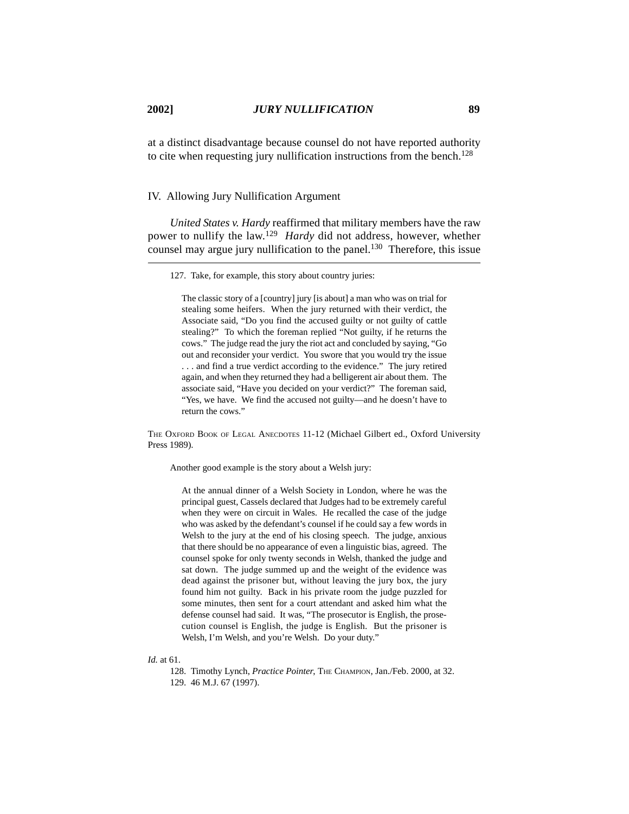at a distinct disadvantage because counsel do not have reported authority to cite when requesting jury nullification instructions from the bench.<sup>128</sup>

## IV. Allowing Jury Nullification Argument

*United States v. Hardy* reaffirmed that military members have the raw power to nullify the law.129 *Hardy* did not address, however, whether counsel may argue jury nullification to the panel.<sup>130</sup> Therefore, this issue

127. Take, for example, this story about country juries:

The classic story of a [country] jury [is about] a man who was on trial for stealing some heifers. When the jury returned with their verdict, the Associate said, "Do you find the accused guilty or not guilty of cattle stealing?" To which the foreman replied "Not guilty, if he returns the cows." The judge read the jury the riot act and concluded by saying, "Go out and reconsider your verdict. You swore that you would try the issue . . . and find a true verdict according to the evidence." The jury retired again, and when they returned they had a belligerent air about them. The associate said, "Have you decided on your verdict?" The foreman said, "Yes, we have. We find the accused not guilty—and he doesn't have to return the cows."

THE OXFORD BOOK OF LEGAL ANECDOTES 11-12 (Michael Gilbert ed., Oxford University Press 1989).

Another good example is the story about a Welsh jury:

At the annual dinner of a Welsh Society in London, where he was the principal guest, Cassels declared that Judges had to be extremely careful when they were on circuit in Wales. He recalled the case of the judge who was asked by the defendant's counsel if he could say a few words in Welsh to the jury at the end of his closing speech. The judge, anxious that there should be no appearance of even a linguistic bias, agreed. The counsel spoke for only twenty seconds in Welsh, thanked the judge and sat down. The judge summed up and the weight of the evidence was dead against the prisoner but, without leaving the jury box, the jury found him not guilty. Back in his private room the judge puzzled for some minutes, then sent for a court attendant and asked him what the defense counsel had said. It was, "The prosecutor is English, the prosecution counsel is English, the judge is English. But the prisoner is Welsh, I'm Welsh, and you're Welsh. Do your duty."

#### *Id.* at 61.

<sup>128.</sup> Timothy Lynch, *Practice Pointer*, THE CHAMPION, Jan./Feb. 2000, at 32. 129. 46 M.J. 67 (1997).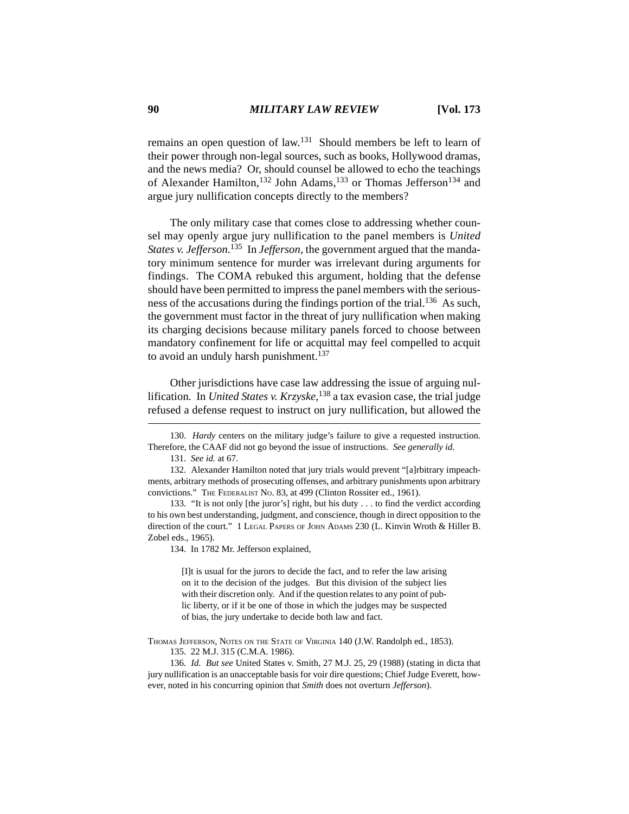remains an open question of law.131 Should members be left to learn of their power through non-legal sources, such as books, Hollywood dramas, and the news media? Or, should counsel be allowed to echo the teachings of Alexander Hamilton,<sup>132</sup> John Adams,<sup>133</sup> or Thomas Jefferson<sup>134</sup> and argue jury nullification concepts directly to the members?

The only military case that comes close to addressing whether counsel may openly argue jury nullification to the panel members is *United States v. Jefferson*. 135 In *Jefferson*, the government argued that the mandatory minimum sentence for murder was irrelevant during arguments for findings. The COMA rebuked this argument, holding that the defense should have been permitted to impress the panel members with the seriousness of the accusations during the findings portion of the trial.<sup>136</sup> As such, the government must factor in the threat of jury nullification when making its charging decisions because military panels forced to choose between mandatory confinement for life or acquittal may feel compelled to acquit to avoid an unduly harsh punishment. $137$ 

Other jurisdictions have case law addressing the issue of arguing nullification. In *United States v. Krzyske*, 138 a tax evasion case, the trial judge refused a defense request to instruct on jury nullification, but allowed the

131. *See id.* at 67.

134. In 1782 Mr. Jefferson explained,

[I]t is usual for the jurors to decide the fact, and to refer the law arising on it to the decision of the judges. But this division of the subject lies with their discretion only. And if the question relates to any point of public liberty, or if it be one of those in which the judges may be suspected of bias, the jury undertake to decide both law and fact.

<sup>130.</sup> *Hardy* centers on the military judge's failure to give a requested instruction. Therefore, the CAAF did not go beyond the issue of instructions. *See generally id.*

<sup>132.</sup> Alexander Hamilton noted that jury trials would prevent "[a]rbitrary impeachments, arbitrary methods of prosecuting offenses, and arbitrary punishments upon arbitrary convictions." THE FEDERALIST NO. 83, at 499 (Clinton Rossiter ed., 1961).

<sup>133. &</sup>quot;It is not only [the juror's] right, but his duty . . . to find the verdict according to his own best understanding, judgment, and conscience, though in direct opposition to the direction of the court." 1 LEGAL PAPERS OF JOHN ADAMS 230 (L. Kinvin Wroth & Hiller B. Zobel eds., 1965).

THOMAS JEFFERSON, NOTES ON THE STATE OF VIRGINIA 140 (J.W. Randolph ed., 1853). 135. 22 M.J. 315 (C.M.A. 1986).

<sup>136.</sup> *Id. But see* United States v. Smith, 27 M.J. 25, 29 (1988) (stating in dicta that jury nullification is an unacceptable basis for voir dire questions; Chief Judge Everett, however, noted in his concurring opinion that *Smith* does not overturn *Jefferson*).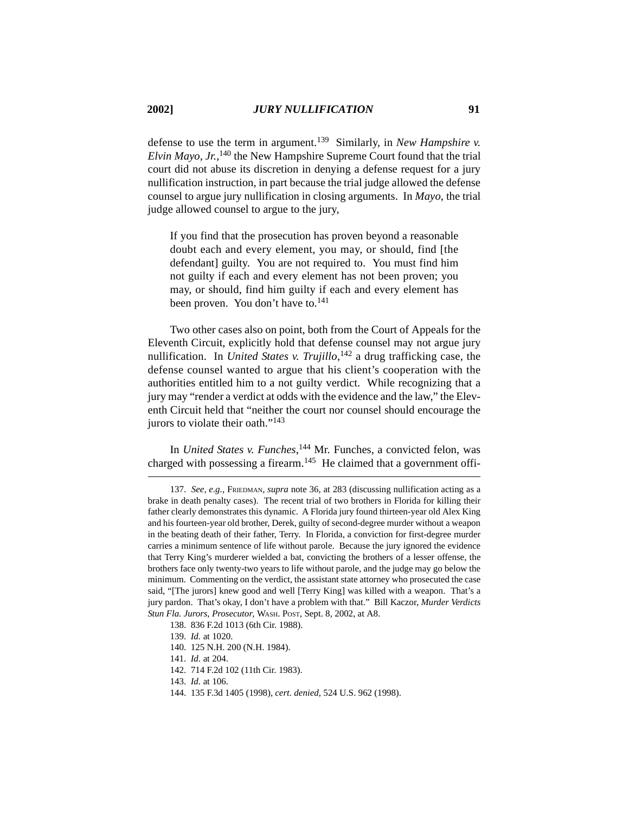defense to use the term in argument.139 Similarly, in *New Hampshire v. Elvin Mayo, Jr.*, 140 the New Hampshire Supreme Court found that the trial court did not abuse its discretion in denying a defense request for a jury nullification instruction, in part because the trial judge allowed the defense counsel to argue jury nullification in closing arguments. In *Mayo*, the trial judge allowed counsel to argue to the jury,

If you find that the prosecution has proven beyond a reasonable doubt each and every element, you may, or should, find [the defendant] guilty. You are not required to. You must find him not guilty if each and every element has not been proven; you may, or should, find him guilty if each and every element has been proven. You don't have to.<sup>141</sup>

Two other cases also on point, both from the Court of Appeals for the Eleventh Circuit, explicitly hold that defense counsel may not argue jury nullification. In *United States v. Trujillo*, <sup>142</sup> a drug trafficking case, the defense counsel wanted to argue that his client's cooperation with the authorities entitled him to a not guilty verdict. While recognizing that a jury may "render a verdict at odds with the evidence and the law," the Eleventh Circuit held that "neither the court nor counsel should encourage the jurors to violate their oath."<sup>143</sup>

In *United States v. Funches*, <sup>144</sup> Mr. Funches, a convicted felon, was charged with possessing a firearm.<sup>145</sup> He claimed that a government offi-

<sup>137.</sup> *See, e.g.*, FRIEDMAN, *supra* note 36, at 283 (discussing nullification acting as a brake in death penalty cases). The recent trial of two brothers in Florida for killing their father clearly demonstrates this dynamic. A Florida jury found thirteen-year old Alex King and his fourteen-year old brother, Derek, guilty of second-degree murder without a weapon in the beating death of their father, Terry. In Florida, a conviction for first-degree murder carries a minimum sentence of life without parole. Because the jury ignored the evidence that Terry King's murderer wielded a bat, convicting the brothers of a lesser offense, the brothers face only twenty-two years to life without parole, and the judge may go below the minimum. Commenting on the verdict, the assistant state attorney who prosecuted the case said, "[The jurors] knew good and well [Terry King] was killed with a weapon. That's a jury pardon. That's okay, I don't have a problem with that." Bill Kaczor, *Murder Verdicts Stun Fla. Jurors, Prosecutor*, WASH. POST, Sept. 8, 2002, at A8.

<sup>138. 836</sup> F.2d 1013 (6th Cir. 1988).

<sup>139.</sup> *Id.* at 1020.

<sup>140. 125</sup> N.H. 200 (N.H. 1984).

<sup>141.</sup> *Id.* at 204.

<sup>142. 714</sup> F.2d 102 (11th Cir. 1983).

<sup>143.</sup> *Id.* at 106.

<sup>144. 135</sup> F.3d 1405 (1998), *cert. denied*, 524 U.S. 962 (1998).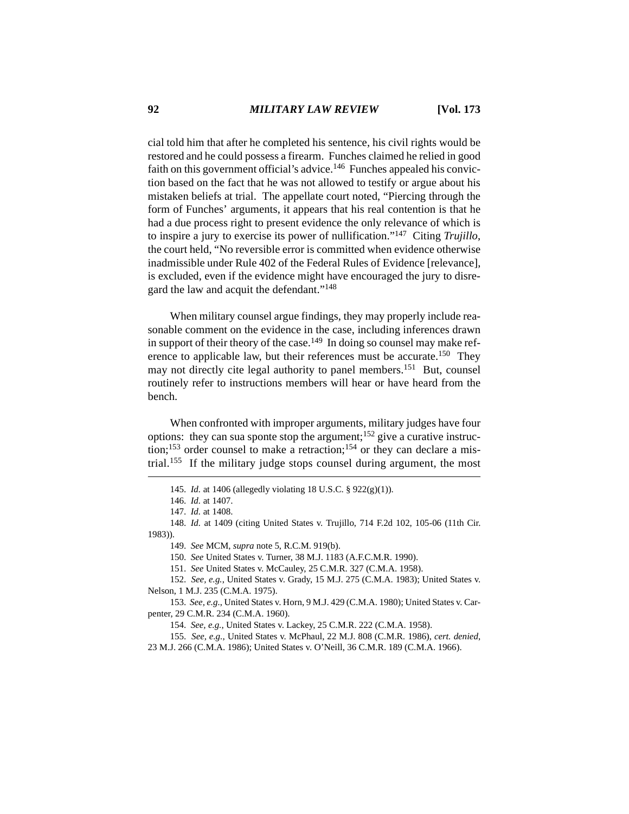cial told him that after he completed his sentence, his civil rights would be restored and he could possess a firearm. Funches claimed he relied in good faith on this government official's advice.<sup>146</sup> Funches appealed his conviction based on the fact that he was not allowed to testify or argue about his mistaken beliefs at trial. The appellate court noted, "Piercing through the form of Funches' arguments, it appears that his real contention is that he had a due process right to present evidence the only relevance of which is to inspire a jury to exercise its power of nullification."147 Citing *Trujillo*, the court held, "No reversible error is committed when evidence otherwise inadmissible under Rule 402 of the Federal Rules of Evidence [relevance], is excluded, even if the evidence might have encouraged the jury to disregard the law and acquit the defendant."148

When military counsel argue findings, they may properly include reasonable comment on the evidence in the case, including inferences drawn in support of their theory of the case.<sup>149</sup> In doing so counsel may make reference to applicable law, but their references must be accurate.150 They may not directly cite legal authority to panel members.<sup>151</sup> But, counsel routinely refer to instructions members will hear or have heard from the bench.

When confronted with improper arguments, military judges have four options: they can sua sponte stop the argument;152 give a curative instruction;<sup>153</sup> order counsel to make a retraction;<sup>154</sup> or they can declare a mistrial.155 If the military judge stops counsel during argument, the most

148. *Id.* at 1409 (citing United States v. Trujillo, 714 F.2d 102, 105-06 (11th Cir. 1983)).

149. *See* MCM, *supra* note 5, R.C.M. 919(b).

150. *See* United States v. Turner, 38 M.J. 1183 (A.F.C.M.R. 1990).

151. *See* United States v. McCauley, 25 C.M.R. 327 (C.M.A. 1958).

152. *See, e.g.*, United States v. Grady, 15 M.J. 275 (C.M.A. 1983); United States v. Nelson, 1 M.J. 235 (C.M.A. 1975).

153. *See, e.g.*, United States v. Horn, 9 M.J. 429 (C.M.A. 1980); United States v. Carpenter, 29 C.M.R. 234 (C.M.A. 1960).

154. *See, e.g.*, United States v. Lackey, 25 C.M.R. 222 (C.M.A. 1958).

155. *See, e.g.*, United States v. McPhaul, 22 M.J. 808 (C.M.R. 1986), *cert. denied*,

23 M.J. 266 (C.M.A. 1986); United States v. O'Neill, 36 C.M.R. 189 (C.M.A. 1966).

<sup>145.</sup> *Id.* at 1406 (allegedly violating 18 U.S.C. § 922(g)(1)).

<sup>146.</sup> *Id.* at 1407.

<sup>147.</sup> *Id.* at 1408.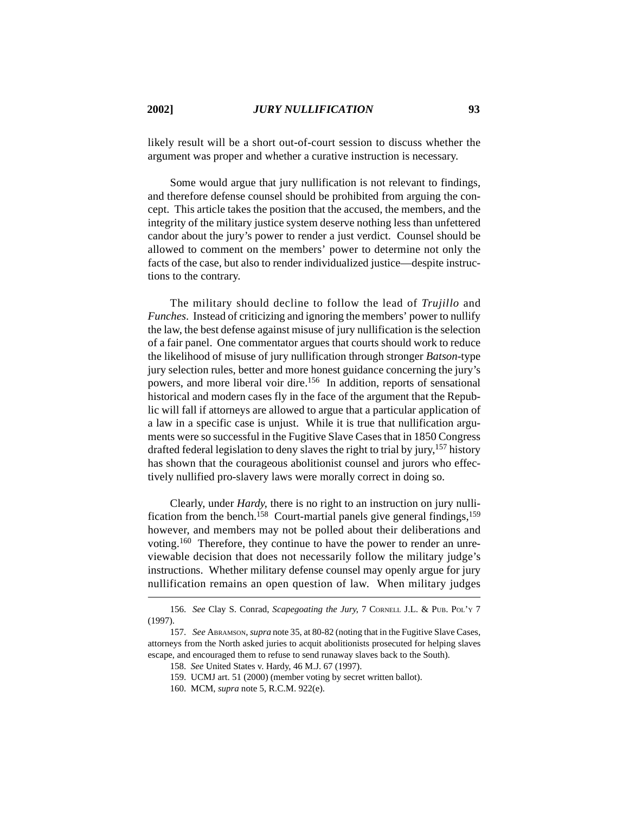likely result will be a short out-of-court session to discuss whether the argument was proper and whether a curative instruction is necessary.

Some would argue that jury nullification is not relevant to findings, and therefore defense counsel should be prohibited from arguing the concept. This article takes the position that the accused, the members, and the integrity of the military justice system deserve nothing less than unfettered candor about the jury's power to render a just verdict. Counsel should be allowed to comment on the members' power to determine not only the facts of the case, but also to render individualized justice—despite instructions to the contrary.

The military should decline to follow the lead of *Trujillo* and *Funches*. Instead of criticizing and ignoring the members' power to nullify the law, the best defense against misuse of jury nullification is the selection of a fair panel. One commentator argues that courts should work to reduce the likelihood of misuse of jury nullification through stronger *Batson-*type jury selection rules, better and more honest guidance concerning the jury's powers, and more liberal voir dire.156 In addition, reports of sensational historical and modern cases fly in the face of the argument that the Republic will fall if attorneys are allowed to argue that a particular application of a law in a specific case is unjust. While it is true that nullification arguments were so successful in the Fugitive Slave Cases that in 1850 Congress drafted federal legislation to deny slaves the right to trial by jury, <sup>157</sup> history has shown that the courageous abolitionist counsel and jurors who effectively nullified pro-slavery laws were morally correct in doing so.

Clearly, under *Hardy*, there is no right to an instruction on jury nullification from the bench.<sup>158</sup> Court-martial panels give general findings,<sup>159</sup> however, and members may not be polled about their deliberations and voting.160 Therefore, they continue to have the power to render an unreviewable decision that does not necessarily follow the military judge's instructions. Whether military defense counsel may openly argue for jury nullification remains an open question of law. When military judges

<sup>156.</sup> *See* Clay S. Conrad, *Scapegoating the Jury*, 7 CORNELL J.L. & PUB. POL'Y 7 (1997).

<sup>157.</sup> *See* ABRAMSON, *supra* note 35, at 80-82 (noting that in the Fugitive Slave Cases, attorneys from the North asked juries to acquit abolitionists prosecuted for helping slaves escape, and encouraged them to refuse to send runaway slaves back to the South).

<sup>158.</sup> *See* United States v. Hardy, 46 M.J. 67 (1997).

<sup>159.</sup> UCMJ art. 51 (2000) (member voting by secret written ballot).

<sup>160.</sup> MCM, *supra* note 5, R.C.M. 922(e).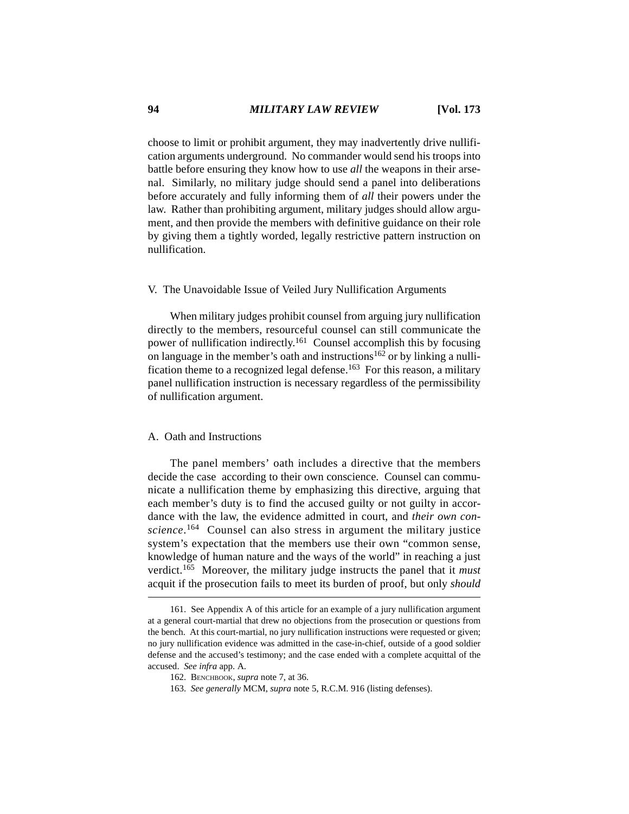choose to limit or prohibit argument, they may inadvertently drive nullification arguments underground. No commander would send his troops into battle before ensuring they know how to use *all* the weapons in their arsenal. Similarly, no military judge should send a panel into deliberations before accurately and fully informing them of *all* their powers under the law. Rather than prohibiting argument, military judges should allow argument, and then provide the members with definitive guidance on their role by giving them a tightly worded, legally restrictive pattern instruction on nullification.

# V. The Unavoidable Issue of Veiled Jury Nullification Arguments

When military judges prohibit counsel from arguing jury nullification directly to the members, resourceful counsel can still communicate the power of nullification indirectly.<sup>161</sup> Counsel accomplish this by focusing on language in the member's oath and instructions<sup>162</sup> or by linking a nullification theme to a recognized legal defense.<sup>163</sup> For this reason, a military panel nullification instruction is necessary regardless of the permissibility of nullification argument.

### A. Oath and Instructions

The panel members' oath includes a directive that the members decide the case according to their own conscience. Counsel can communicate a nullification theme by emphasizing this directive, arguing that each member's duty is to find the accused guilty or not guilty in accordance with the law, the evidence admitted in court, and *their own conscience*. 164 Counsel can also stress in argument the military justice system's expectation that the members use their own "common sense, knowledge of human nature and the ways of the world" in reaching a just verdict.165 Moreover, the military judge instructs the panel that it *must* acquit if the prosecution fails to meet its burden of proof, but only *should*

<sup>161.</sup> See Appendix A of this article for an example of a jury nullification argument at a general court-martial that drew no objections from the prosecution or questions from the bench. At this court-martial, no jury nullification instructions were requested or given; no jury nullification evidence was admitted in the case-in-chief, outside of a good soldier defense and the accused's testimony; and the case ended with a complete acquittal of the accused. *See infra* app. A.

<sup>162.</sup> BENCHBOOK, *supra* note 7, at 36.

<sup>163.</sup> *See generally* MCM, *supra* note 5, R.C.M. 916 (listing defenses).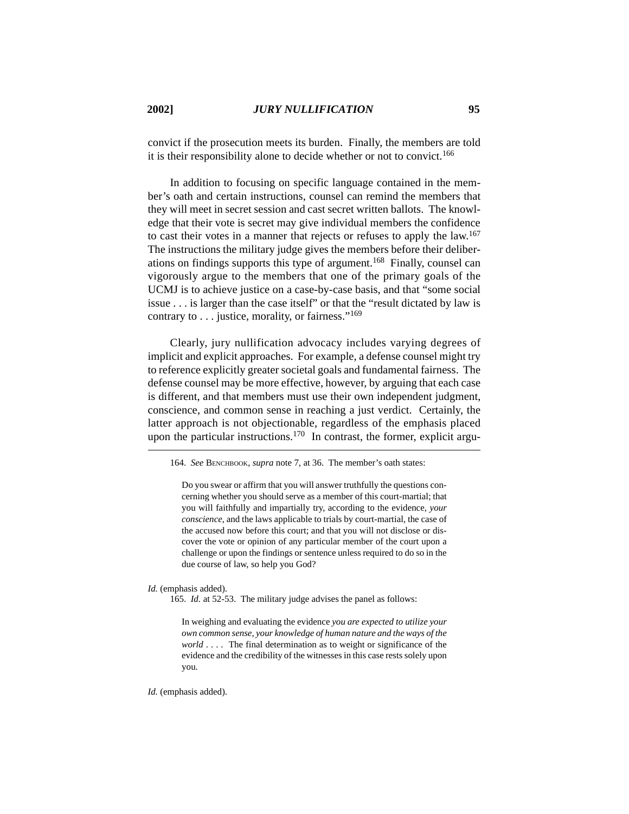convict if the prosecution meets its burden. Finally, the members are told it is their responsibility alone to decide whether or not to convict.<sup>166</sup>

In addition to focusing on specific language contained in the member's oath and certain instructions, counsel can remind the members that they will meet in secret session and cast secret written ballots. The knowledge that their vote is secret may give individual members the confidence to cast their votes in a manner that rejects or refuses to apply the law.<sup>167</sup> The instructions the military judge gives the members before their deliberations on findings supports this type of argument.168 Finally, counsel can vigorously argue to the members that one of the primary goals of the UCMJ is to achieve justice on a case-by-case basis, and that "some social issue . . . is larger than the case itself" or that the "result dictated by law is contrary to  $\dots$  justice, morality, or fairness."<sup>169</sup>

Clearly, jury nullification advocacy includes varying degrees of implicit and explicit approaches. For example, a defense counsel might try to reference explicitly greater societal goals and fundamental fairness. The defense counsel may be more effective, however, by arguing that each case is different, and that members must use their own independent judgment, conscience, and common sense in reaching a just verdict. Certainly, the latter approach is not objectionable, regardless of the emphasis placed upon the particular instructions.<sup>170</sup> In contrast, the former, explicit argu-

Do you swear or affirm that you will answer truthfully the questions concerning whether you should serve as a member of this court-martial; that you will faithfully and impartially try, according to the evidence, *your conscience*, and the laws applicable to trials by court-martial, the case of the accused now before this court; and that you will not disclose or discover the vote or opinion of any particular member of the court upon a challenge or upon the findings or sentence unless required to do so in the due course of law, so help you God?

*Id.* (emphasis added).

165. *Id.* at 52-53. The military judge advises the panel as follows:

In weighing and evaluating the evidence *you are expected to utilize your own common sense, your knowledge of human nature and the ways of the world* . . . . The final determination as to weight or significance of the evidence and the credibility of the witnesses in this case rests solely upon you.

*Id.* (emphasis added).

<sup>164.</sup> *See* BENCHBOOK, *supra* note 7, at 36. The member's oath states: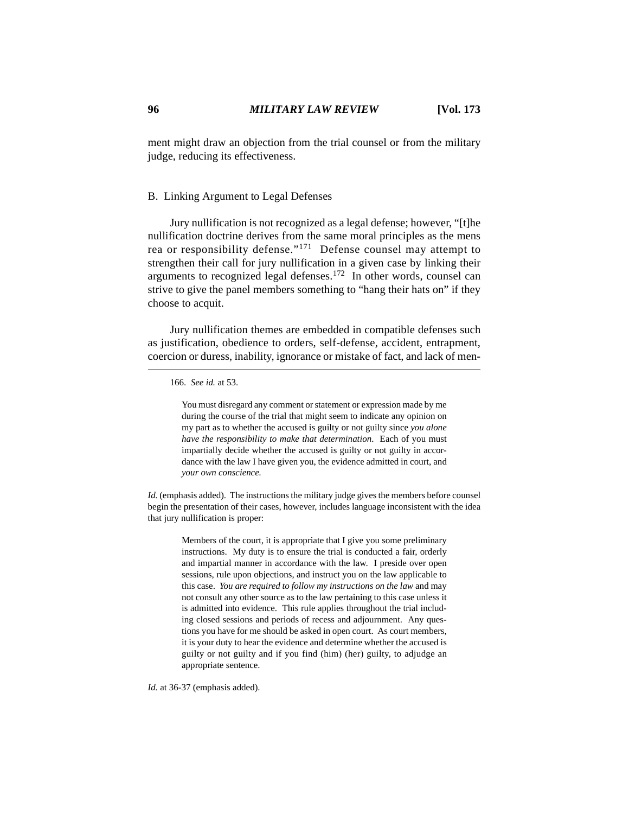ment might draw an objection from the trial counsel or from the military judge, reducing its effectiveness.

# B. Linking Argument to Legal Defenses

Jury nullification is not recognized as a legal defense; however, "[t]he nullification doctrine derives from the same moral principles as the mens rea or responsibility defense."171 Defense counsel may attempt to strengthen their call for jury nullification in a given case by linking their arguments to recognized legal defenses.172 In other words, counsel can strive to give the panel members something to "hang their hats on" if they choose to acquit.

Jury nullification themes are embedded in compatible defenses such as justification, obedience to orders, self-defense, accident, entrapment, coercion or duress, inability, ignorance or mistake of fact, and lack of men-

You must disregard any comment or statement or expression made by me during the course of the trial that might seem to indicate any opinion on my part as to whether the accused is guilty or not guilty since *you alone have the responsibility to make that determination*. Each of you must impartially decide whether the accused is guilty or not guilty in accordance with the law I have given you, the evidence admitted in court, and *your own conscience.* 

*Id.* (emphasis added). The instructions the military judge gives the members before counsel begin the presentation of their cases, however, includes language inconsistent with the idea that jury nullification is proper:

> Members of the court, it is appropriate that I give you some preliminary instructions. My duty is to ensure the trial is conducted a fair, orderly and impartial manner in accordance with the law. I preside over open sessions, rule upon objections, and instruct you on the law applicable to this case. *You are required to follow my instructions on the law* and may not consult any other source as to the law pertaining to this case unless it is admitted into evidence. This rule applies throughout the trial including closed sessions and periods of recess and adjournment. Any questions you have for me should be asked in open court. As court members, it is your duty to hear the evidence and determine whether the accused is guilty or not guilty and if you find (him) (her) guilty, to adjudge an appropriate sentence.

*Id.* at 36-37 (emphasis added).

<sup>166.</sup> *See id.* at 53.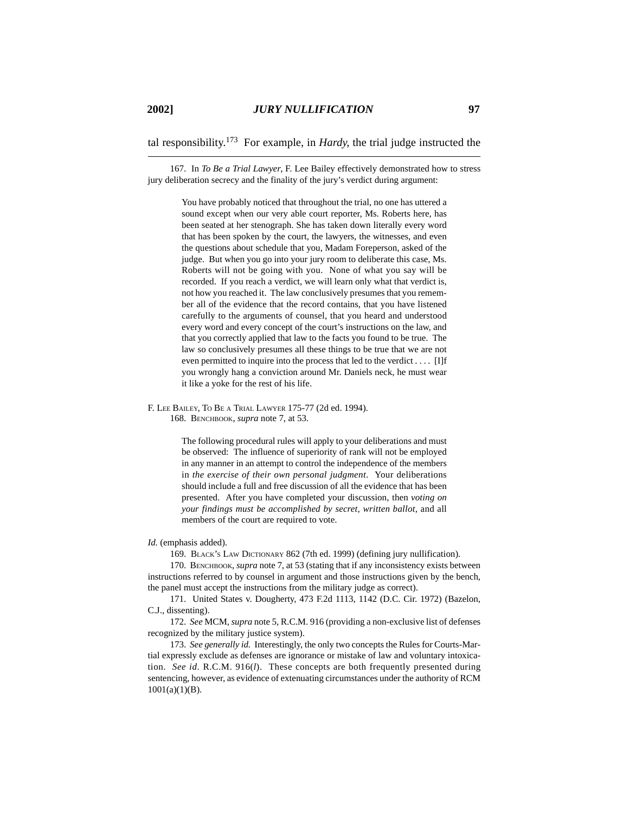tal responsibility.173 For example, in *Hardy*, the trial judge instructed the

167. In *To Be a Trial Lawyer*, F. Lee Bailey effectively demonstrated how to stress jury deliberation secrecy and the finality of the jury's verdict during argument:

> You have probably noticed that throughout the trial, no one has uttered a sound except when our very able court reporter, Ms. Roberts here, has been seated at her stenograph. She has taken down literally every word that has been spoken by the court, the lawyers, the witnesses, and even the questions about schedule that you, Madam Foreperson, asked of the judge. But when you go into your jury room to deliberate this case, Ms. Roberts will not be going with you. None of what you say will be recorded. If you reach a verdict, we will learn only what that verdict is, not how you reached it. The law conclusively presumes that you remember all of the evidence that the record contains, that you have listened carefully to the arguments of counsel, that you heard and understood every word and every concept of the court's instructions on the law, and that you correctly applied that law to the facts you found to be true. The law so conclusively presumes all these things to be true that we are not even permitted to inquire into the process that led to the verdict . . . . [I]f you wrongly hang a conviction around Mr. Daniels neck, he must wear it like a yoke for the rest of his life.

F. LEE BAILEY, TO BE A TRIAL LAWYER 175-77 (2d ed. 1994). 168. BENCHBOOK, *supra* note 7, at 53.

> The following procedural rules will apply to your deliberations and must be observed: The influence of superiority of rank will not be employed in any manner in an attempt to control the independence of the members in *the exercise of their own personal judgment*. Your deliberations should include a full and free discussion of all the evidence that has been presented. After you have completed your discussion, then *voting on your findings must be accomplished by secret, written ballot*, and all members of the court are required to vote.

#### *Id.* (emphasis added).

169. BLACK'S LAW DICTIONARY 862 (7th ed. 1999) (defining jury nullification).

170. BENCHBOOK, *supra* note 7, at 53 (stating that if any inconsistency exists between instructions referred to by counsel in argument and those instructions given by the bench, the panel must accept the instructions from the military judge as correct).

171. United States v. Dougherty, 473 F.2d 1113, 1142 (D.C. Cir. 1972) (Bazelon, C.J., dissenting).

172. *See* MCM, *supra* note 5, R.C.M. 916 (providing a non-exclusive list of defenses recognized by the military justice system).

173. *See generally id.* Interestingly, the only two concepts the Rules for Courts-Martial expressly exclude as defenses are ignorance or mistake of law and voluntary intoxication. *See id*. R.C.M. 916(*l*). These concepts are both frequently presented during sentencing, however, as evidence of extenuating circumstances under the authority of RCM 1001(a)(1)(B).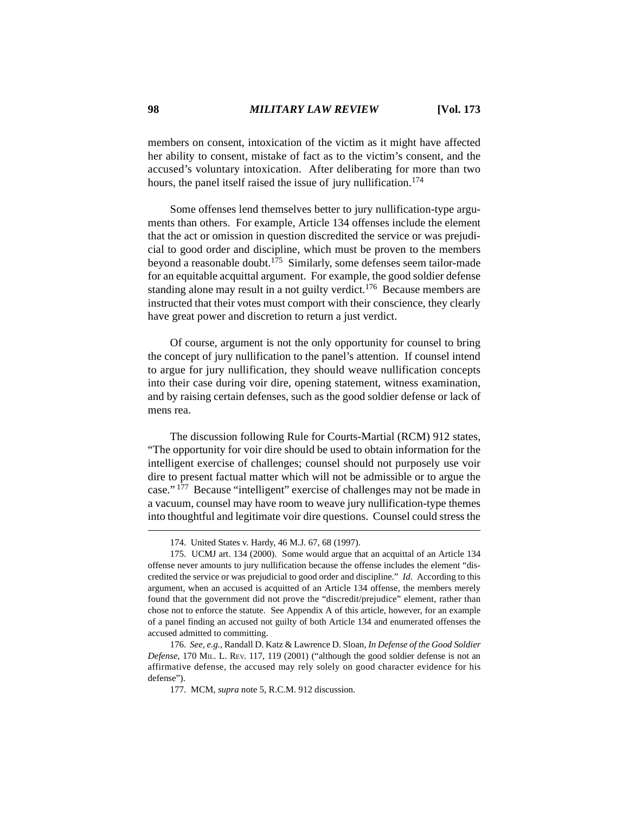members on consent, intoxication of the victim as it might have affected her ability to consent, mistake of fact as to the victim's consent, and the accused's voluntary intoxication. After deliberating for more than two hours, the panel itself raised the issue of jury nullification.<sup>174</sup>

Some offenses lend themselves better to jury nullification-type arguments than others. For example, Article 134 offenses include the element that the act or omission in question discredited the service or was prejudicial to good order and discipline, which must be proven to the members beyond a reasonable doubt.175 Similarly, some defenses seem tailor-made for an equitable acquittal argument. For example, the good soldier defense standing alone may result in a not guilty verdict.<sup>176</sup> Because members are instructed that their votes must comport with their conscience, they clearly have great power and discretion to return a just verdict.

Of course, argument is not the only opportunity for counsel to bring the concept of jury nullification to the panel's attention. If counsel intend to argue for jury nullification, they should weave nullification concepts into their case during voir dire, opening statement, witness examination, and by raising certain defenses, such as the good soldier defense or lack of mens rea.

The discussion following Rule for Courts-Martial (RCM) 912 states, "The opportunity for voir dire should be used to obtain information for the intelligent exercise of challenges; counsel should not purposely use voir dire to present factual matter which will not be admissible or to argue the case." 177 Because "intelligent" exercise of challenges may not be made in a vacuum, counsel may have room to weave jury nullification-type themes into thoughtful and legitimate voir dire questions. Counsel could stress the

<sup>174.</sup> United States v. Hardy, 46 M.J. 67, 68 (1997).

<sup>175.</sup> UCMJ art. 134 (2000). Some would argue that an acquittal of an Article 134 offense never amounts to jury nullification because the offense includes the element "discredited the service or was prejudicial to good order and discipline." *Id.* According to this argument, when an accused is acquitted of an Article 134 offense, the members merely found that the government did not prove the "discredit/prejudice" element, rather than chose not to enforce the statute. See Appendix A of this article, however, for an example of a panel finding an accused not guilty of both Article 134 and enumerated offenses the accused admitted to committing.

<sup>176.</sup> *See, e.g.*, Randall D. Katz & Lawrence D. Sloan, *In Defense of the Good Soldier Defense*, 170 MIL. L. REV. 117, 119 (2001) ("although the good soldier defense is not an affirmative defense, the accused may rely solely on good character evidence for his defense").

<sup>177.</sup> MCM, *supra* note 5, R.C.M. 912 discussion.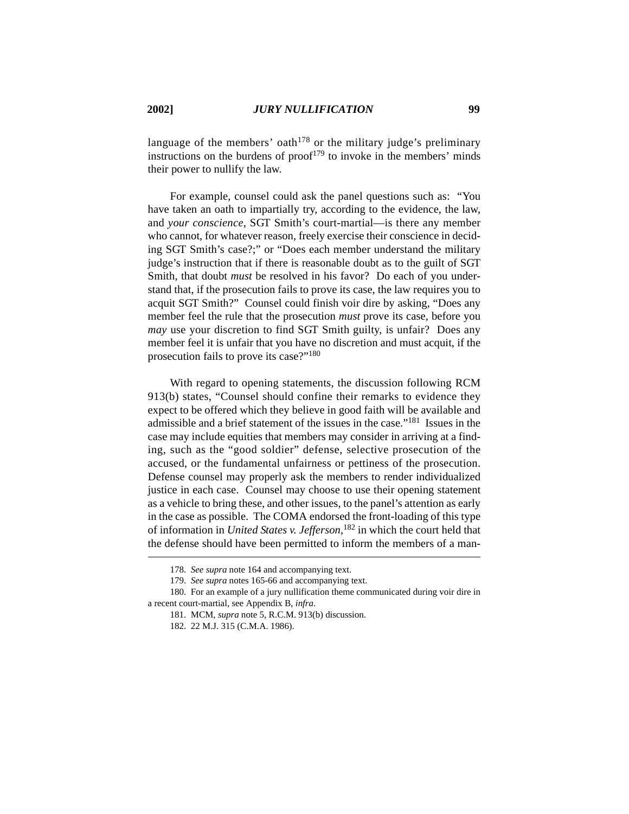language of the members' oath<sup>178</sup> or the military judge's preliminary instructions on the burdens of proof<sup>179</sup> to invoke in the members' minds their power to nullify the law.

For example, counsel could ask the panel questions such as: "You have taken an oath to impartially try, according to the evidence, the law, and *your conscience*, SGT Smith's court-martial—is there any member who cannot, for whatever reason, freely exercise their conscience in deciding SGT Smith's case?;" or "Does each member understand the military judge's instruction that if there is reasonable doubt as to the guilt of SGT Smith, that doubt *must* be resolved in his favor? Do each of you understand that, if the prosecution fails to prove its case, the law requires you to acquit SGT Smith?" Counsel could finish voir dire by asking, "Does any member feel the rule that the prosecution *must* prove its case, before you *may* use your discretion to find SGT Smith guilty, is unfair? Does any member feel it is unfair that you have no discretion and must acquit, if the prosecution fails to prove its case?"180

With regard to opening statements, the discussion following RCM 913(b) states, "Counsel should confine their remarks to evidence they expect to be offered which they believe in good faith will be available and admissible and a brief statement of the issues in the case."181 Issues in the case may include equities that members may consider in arriving at a finding, such as the "good soldier" defense, selective prosecution of the accused, or the fundamental unfairness or pettiness of the prosecution. Defense counsel may properly ask the members to render individualized justice in each case. Counsel may choose to use their opening statement as a vehicle to bring these, and other issues, to the panel's attention as early in the case as possible. The COMA endorsed the front-loading of this type of information in *United States v. Jefferson*, 182 in which the court held that the defense should have been permitted to inform the members of a man-

180. For an example of a jury nullification theme communicated during voir dire in a recent court-martial, see Appendix B, *infra*.

<sup>178.</sup> *See supra* note 164 and accompanying text.

<sup>179.</sup> *See supra* notes 165-66 and accompanying text.

<sup>181.</sup> MCM, *supra* note 5, R.C.M. 913(b) discussion.

<sup>182. 22</sup> M.J. 315 (C.M.A. 1986).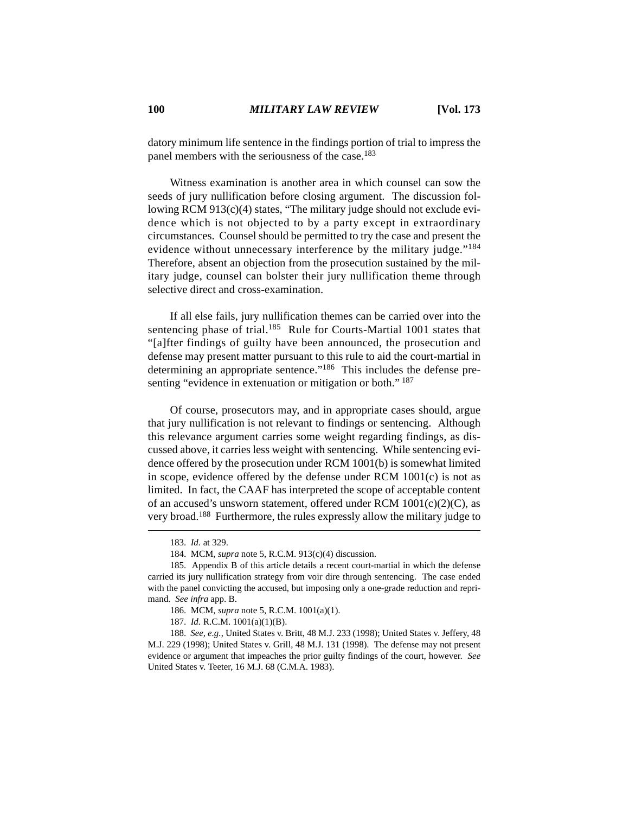datory minimum life sentence in the findings portion of trial to impress the panel members with the seriousness of the case.<sup>183</sup>

Witness examination is another area in which counsel can sow the seeds of jury nullification before closing argument. The discussion following RCM 913(c)(4) states, "The military judge should not exclude evidence which is not objected to by a party except in extraordinary circumstances. Counsel should be permitted to try the case and present the evidence without unnecessary interference by the military judge."<sup>184</sup> Therefore, absent an objection from the prosecution sustained by the military judge, counsel can bolster their jury nullification theme through selective direct and cross-examination.

If all else fails, jury nullification themes can be carried over into the sentencing phase of trial.<sup>185</sup> Rule for Courts-Martial 1001 states that "[a]fter findings of guilty have been announced, the prosecution and defense may present matter pursuant to this rule to aid the court-martial in determining an appropriate sentence."<sup>186</sup> This includes the defense presenting "evidence in extenuation or mitigation or both." <sup>187</sup>

Of course, prosecutors may, and in appropriate cases should, argue that jury nullification is not relevant to findings or sentencing. Although this relevance argument carries some weight regarding findings, as discussed above, it carries less weight with sentencing. While sentencing evidence offered by the prosecution under RCM 1001(b) is somewhat limited in scope, evidence offered by the defense under RCM 1001(c) is not as limited. In fact, the CAAF has interpreted the scope of acceptable content of an accused's unsworn statement, offered under RCM  $1001(c)(2)(C)$ , as very broad.<sup>188</sup> Furthermore, the rules expressly allow the military judge to

<sup>183.</sup> *Id.* at 329.

<sup>184.</sup> MCM, *supra* note 5, R.C.M. 913(c)(4) discussion.

<sup>185.</sup> Appendix B of this article details a recent court-martial in which the defense carried its jury nullification strategy from voir dire through sentencing. The case ended with the panel convicting the accused, but imposing only a one-grade reduction and reprimand. *See infra* app. B.

<sup>186.</sup> MCM, *supra* note 5, R.C.M. 1001(a)(1).

<sup>187.</sup> *Id.* R.C.M. 1001(a)(1)(B).

<sup>188.</sup> *See, e.g.*, United States v. Britt, 48 M.J. 233 (1998); United States v. Jeffery, 48 M.J. 229 (1998); United States v. Grill, 48 M.J. 131 (1998). The defense may not present evidence or argument that impeaches the prior guilty findings of the court, however. *See* United States v. Teeter, 16 M.J. 68 (C.M.A. 1983).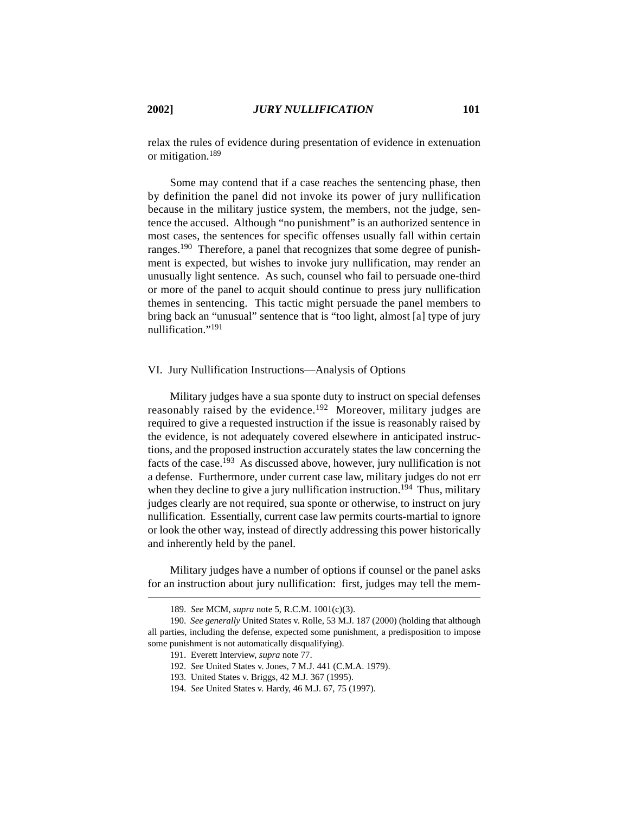relax the rules of evidence during presentation of evidence in extenuation or mitigation.189

Some may contend that if a case reaches the sentencing phase, then by definition the panel did not invoke its power of jury nullification because in the military justice system, the members, not the judge, sentence the accused. Although "no punishment" is an authorized sentence in most cases, the sentences for specific offenses usually fall within certain ranges.190 Therefore, a panel that recognizes that some degree of punishment is expected, but wishes to invoke jury nullification, may render an unusually light sentence. As such, counsel who fail to persuade one-third or more of the panel to acquit should continue to press jury nullification themes in sentencing. This tactic might persuade the panel members to bring back an "unusual" sentence that is "too light, almost [a] type of jury nullification<sup>"191</sup>

### VI. Jury Nullification Instructions—Analysis of Options

Military judges have a sua sponte duty to instruct on special defenses reasonably raised by the evidence.<sup>192</sup> Moreover, military judges are required to give a requested instruction if the issue is reasonably raised by the evidence, is not adequately covered elsewhere in anticipated instructions, and the proposed instruction accurately states the law concerning the facts of the case.<sup>193</sup> As discussed above, however, jury nullification is not a defense. Furthermore, under current case law, military judges do not err when they decline to give a jury nullification instruction.<sup>194</sup> Thus, military judges clearly are not required, sua sponte or otherwise, to instruct on jury nullification. Essentially, current case law permits courts-martial to ignore or look the other way, instead of directly addressing this power historically and inherently held by the panel.

Military judges have a number of options if counsel or the panel asks for an instruction about jury nullification: first, judges may tell the mem-

<sup>189.</sup> *See* MCM, *supra* note 5, R.C.M. 1001(c)(3).

<sup>190.</sup> *See generally* United States v. Rolle, 53 M.J. 187 (2000) (holding that although all parties, including the defense, expected some punishment, a predisposition to impose some punishment is not automatically disqualifying).

<sup>191.</sup> Everett Interview, *supra* note 77.

<sup>192.</sup> *See* United States v. Jones, 7 M.J. 441 (C.M.A. 1979).

<sup>193.</sup> United States v. Briggs, 42 M.J. 367 (1995).

<sup>194.</sup> *See* United States v. Hardy, 46 M.J. 67, 75 (1997).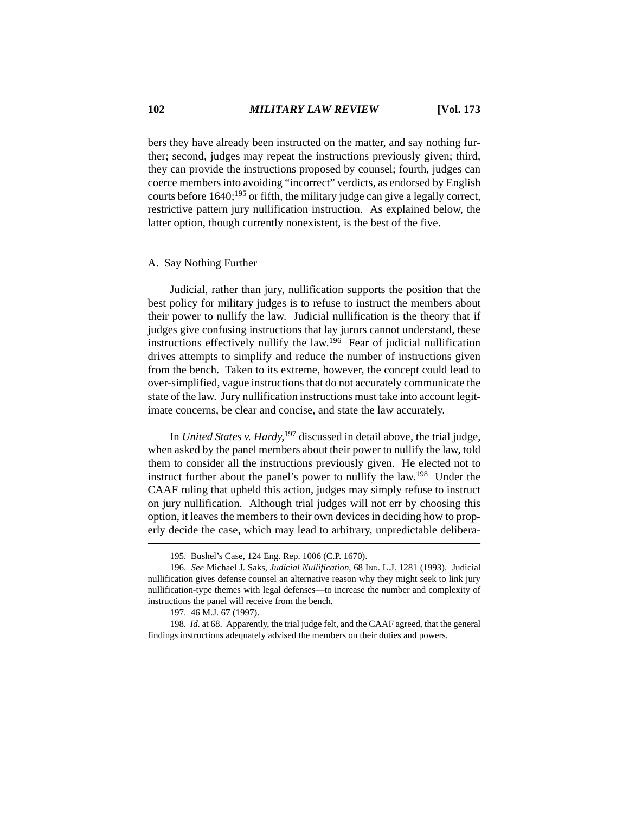bers they have already been instructed on the matter, and say nothing further; second, judges may repeat the instructions previously given; third, they can provide the instructions proposed by counsel; fourth, judges can coerce members into avoiding "incorrect" verdicts, as endorsed by English courts before  $1640$ ;<sup>195</sup> or fifth, the military judge can give a legally correct, restrictive pattern jury nullification instruction. As explained below, the latter option, though currently nonexistent, is the best of the five.

### A. Say Nothing Further

Judicial, rather than jury, nullification supports the position that the best policy for military judges is to refuse to instruct the members about their power to nullify the law. Judicial nullification is the theory that if judges give confusing instructions that lay jurors cannot understand, these instructions effectively nullify the law.196 Fear of judicial nullification drives attempts to simplify and reduce the number of instructions given from the bench. Taken to its extreme, however, the concept could lead to over-simplified, vague instructions that do not accurately communicate the state of the law. Jury nullification instructions must take into account legitimate concerns, be clear and concise, and state the law accurately.

In *United States v. Hardy*, 197 discussed in detail above, the trial judge, when asked by the panel members about their power to nullify the law, told them to consider all the instructions previously given. He elected not to instruct further about the panel's power to nullify the law.<sup>198</sup> Under the CAAF ruling that upheld this action, judges may simply refuse to instruct on jury nullification. Although trial judges will not err by choosing this option, it leaves the members to their own devices in deciding how to properly decide the case, which may lead to arbitrary, unpredictable delibera-

<sup>195.</sup> Bushel's Case, 124 Eng. Rep. 1006 (C.P. 1670).

<sup>196.</sup> *See* Michael J. Saks, *Judicial Nullification*, 68 IND. L.J. 1281 (1993). Judicial nullification gives defense counsel an alternative reason why they might seek to link jury nullification-type themes with legal defenses—to increase the number and complexity of instructions the panel will receive from the bench.

<sup>197. 46</sup> M.J. 67 (1997).

<sup>198.</sup> *Id.* at 68. Apparently, the trial judge felt, and the CAAF agreed, that the general findings instructions adequately advised the members on their duties and powers.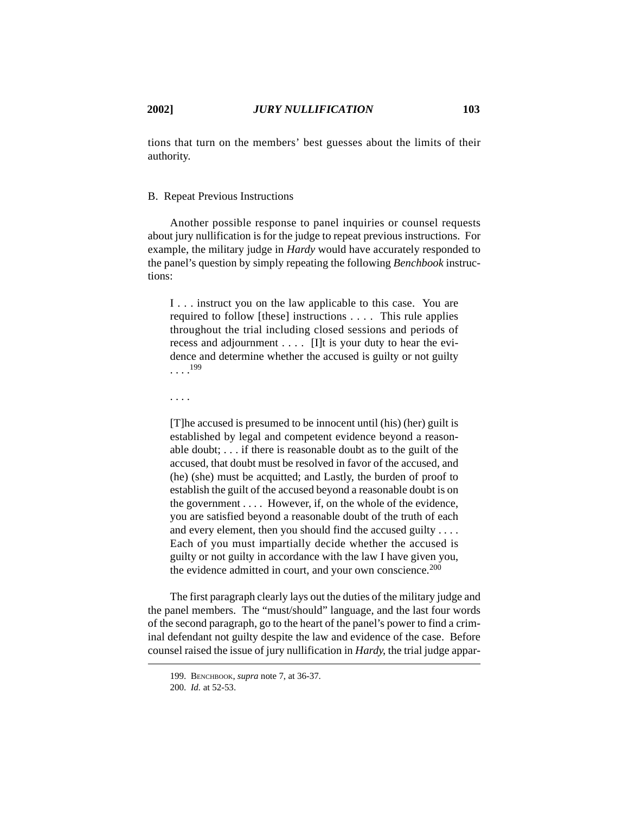tions that turn on the members' best guesses about the limits of their authority.

# B. Repeat Previous Instructions

Another possible response to panel inquiries or counsel requests about jury nullification is for the judge to repeat previous instructions. For example, the military judge in *Hardy* would have accurately responded to the panel's question by simply repeating the following *Benchbook* instructions:

I . . . instruct you on the law applicable to this case. You are required to follow [these] instructions . . . . This rule applies throughout the trial including closed sessions and periods of recess and adjournment . . . . [I]t is your duty to hear the evidence and determine whether the accused is guilty or not guilty  $\ldots$ <sup>199</sup>

. . . .

[T]he accused is presumed to be innocent until (his) (her) guilt is established by legal and competent evidence beyond a reasonable doubt; . . . if there is reasonable doubt as to the guilt of the accused, that doubt must be resolved in favor of the accused, and (he) (she) must be acquitted; and Lastly, the burden of proof to establish the guilt of the accused beyond a reasonable doubt is on the government . . . . However, if, on the whole of the evidence, you are satisfied beyond a reasonable doubt of the truth of each and every element, then you should find the accused guilty . . . . Each of you must impartially decide whether the accused is guilty or not guilty in accordance with the law I have given you, the evidence admitted in court, and your own conscience.  $200$ 

The first paragraph clearly lays out the duties of the military judge and the panel members. The "must/should" language, and the last four words of the second paragraph, go to the heart of the panel's power to find a criminal defendant not guilty despite the law and evidence of the case. Before counsel raised the issue of jury nullification in *Hardy*, the trial judge appar-

<sup>199.</sup> BENCHBOOK, *supra* note 7, at 36-37.

<sup>200.</sup> *Id.* at 52-53.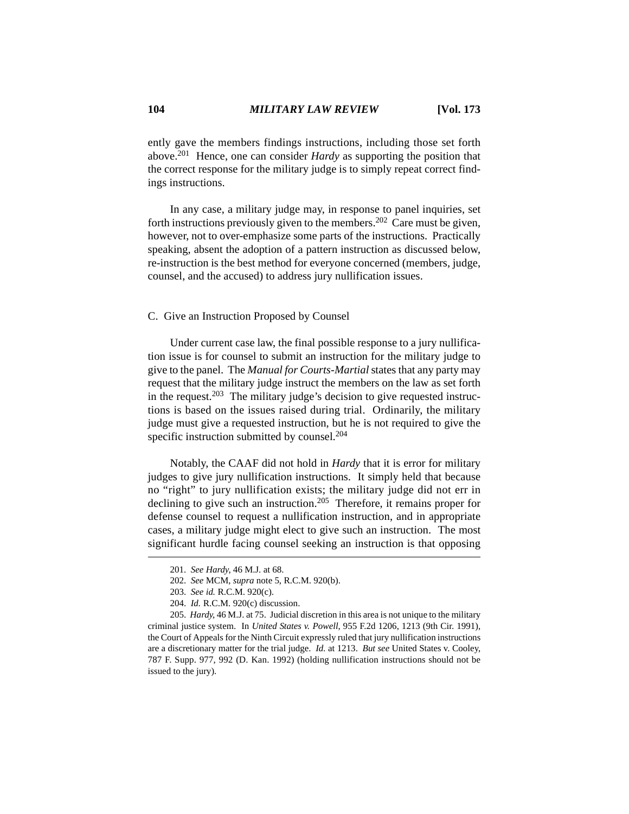ently gave the members findings instructions, including those set forth above.201 Hence, one can consider *Hardy* as supporting the position that the correct response for the military judge is to simply repeat correct findings instructions.

In any case, a military judge may, in response to panel inquiries, set forth instructions previously given to the members.202 Care must be given, however, not to over-emphasize some parts of the instructions. Practically speaking, absent the adoption of a pattern instruction as discussed below, re-instruction is the best method for everyone concerned (members, judge, counsel, and the accused) to address jury nullification issues.

### C. Give an Instruction Proposed by Counsel

Under current case law, the final possible response to a jury nullification issue is for counsel to submit an instruction for the military judge to give to the panel. The *Manual for Courts-Martial* states that any party may request that the military judge instruct the members on the law as set forth in the request.<sup>203</sup> The military judge's decision to give requested instructions is based on the issues raised during trial. Ordinarily, the military judge must give a requested instruction, but he is not required to give the specific instruction submitted by counsel.<sup>204</sup>

Notably, the CAAF did not hold in *Hardy* that it is error for military judges to give jury nullification instructions. It simply held that because no "right" to jury nullification exists; the military judge did not err in declining to give such an instruction.205 Therefore, it remains proper for defense counsel to request a nullification instruction, and in appropriate cases, a military judge might elect to give such an instruction. The most significant hurdle facing counsel seeking an instruction is that opposing

<sup>201.</sup> *See Hardy*, 46 M.J. at 68.

<sup>202.</sup> *See* MCM, *supra* note 5, R.C.M. 920(b).

<sup>203.</sup> *See id.* R.C.M. 920(c).

<sup>204.</sup> *Id.* R.C.M. 920(c) discussion.

<sup>205.</sup> *Hardy*, 46 M.J. at 75. Judicial discretion in this area is not unique to the military criminal justice system. In *United States v. Powell*, 955 F.2d 1206, 1213 (9th Cir. 1991), the Court of Appeals for the Ninth Circuit expressly ruled that jury nullification instructions are a discretionary matter for the trial judge. *Id.* at 1213. *But see* United States v. Cooley, 787 F. Supp. 977, 992 (D. Kan. 1992) (holding nullification instructions should not be issued to the jury).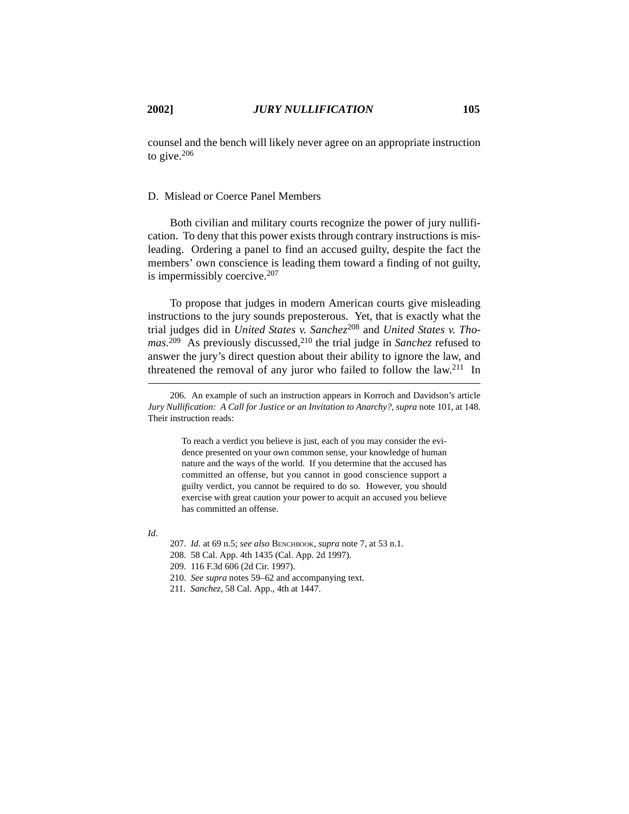counsel and the bench will likely never agree on an appropriate instruction to give.206

# D. Mislead or Coerce Panel Members

Both civilian and military courts recognize the power of jury nullification. To deny that this power exists through contrary instructions is misleading. Ordering a panel to find an accused guilty, despite the fact the members' own conscience is leading them toward a finding of not guilty, is impermissibly coercive.207

To propose that judges in modern American courts give misleading instructions to the jury sounds preposterous. Yet, that is exactly what the trial judges did in *United States v. Sanchez*<sup>208</sup> and *United States v. Tho*mas.<sup>209</sup> As previously discussed,<sup>210</sup> the trial judge in *Sanchez* refused to answer the jury's direct question about their ability to ignore the law, and threatened the removal of any juror who failed to follow the law.<sup>211</sup> In

To reach a verdict you believe is just, each of you may consider the evidence presented on your own common sense, your knowledge of human nature and the ways of the world. If you determine that the accused has committed an offense, but you cannot in good conscience support a guilty verdict, you cannot be required to do so. However, you should exercise with great caution your power to acquit an accused you believe has committed an offense.

*Id*.

208. 58 Cal. App. 4th 1435 (Cal. App. 2d 1997).

<sup>206.</sup> An example of such an instruction appears in Korroch and Davidson's article *Jury Nullification: A Call for Justice or an Invitation to Anarchy?*, *supra* note 101, at 148. Their instruction reads:

<sup>207.</sup> *Id.* at 69 n.5; *see also* BENCHBOOK, *supra* note 7, at 53 n.1.

<sup>209. 116</sup> F.3d 606 (2d Cir. 1997).

<sup>210.</sup> *See supra* notes 59–62 and accompanying text.

<sup>211.</sup> *Sanchez*, 58 Cal. App., 4th at 1447.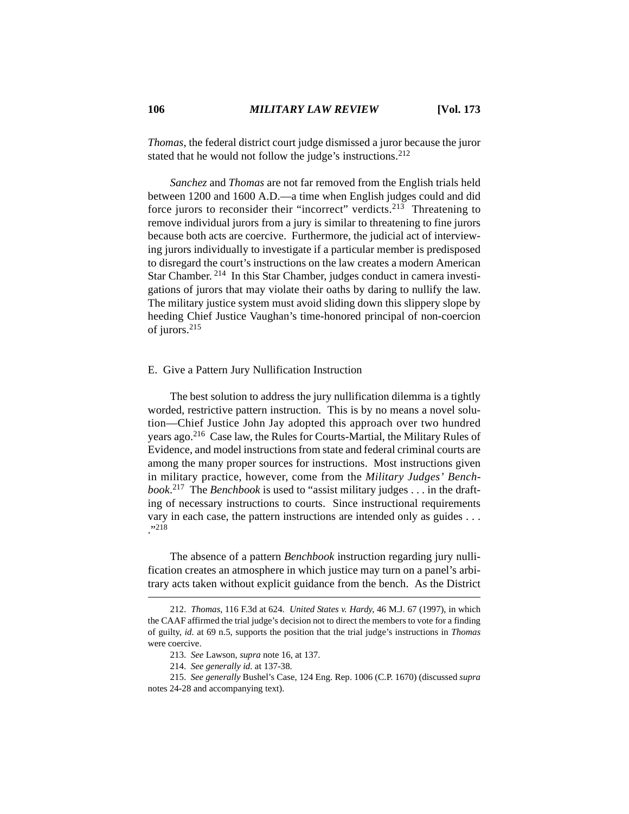*Thomas*, the federal district court judge dismissed a juror because the juror stated that he would not follow the judge's instructions.<sup>212</sup>

*Sanchez* and *Thomas* are not far removed from the English trials held between 1200 and 1600 A.D.—a time when English judges could and did force jurors to reconsider their "incorrect" verdicts.<sup>213</sup> Threatening to remove individual jurors from a jury is similar to threatening to fine jurors because both acts are coercive. Furthermore, the judicial act of interviewing jurors individually to investigate if a particular member is predisposed to disregard the court's instructions on the law creates a modern American Star Chamber. 214 In this Star Chamber, judges conduct in camera investigations of jurors that may violate their oaths by daring to nullify the law. The military justice system must avoid sliding down this slippery slope by heeding Chief Justice Vaughan's time-honored principal of non-coercion of jurors.215

### E. Give a Pattern Jury Nullification Instruction

The best solution to address the jury nullification dilemma is a tightly worded, restrictive pattern instruction. This is by no means a novel solution—Chief Justice John Jay adopted this approach over two hundred years ago.216 Case law, the Rules for Courts-Martial, the Military Rules of Evidence, and model instructions from state and federal criminal courts are among the many proper sources for instructions. Most instructions given in military practice, however, come from the *Military Judges' Benchbook*. 217 The *Benchbook* is used to "assist military judges . . . in the drafting of necessary instructions to courts. Since instructional requirements vary in each case, the pattern instructions are intended only as guides . . .  $^{1,218}$ 

The absence of a pattern *Benchbook* instruction regarding jury nullification creates an atmosphere in which justice may turn on a panel's arbitrary acts taken without explicit guidance from the bench. As the District

<sup>212.</sup> *Thomas*, 116 F.3d at 624. *United States v. Hardy*, 46 M.J. 67 (1997), in which the CAAF affirmed the trial judge's decision not to direct the members to vote for a finding of guilty, *id.* at 69 n.5, supports the position that the trial judge's instructions in *Thomas* were coercive.

<sup>213.</sup> *See* Lawson, *supra* note 16, at 137.

<sup>214.</sup> *See generally id.* at 137-38.

<sup>215.</sup> *See generally* Bushel's Case, 124 Eng. Rep. 1006 (C.P. 1670) (discussed *supra* notes 24-28 and accompanying text).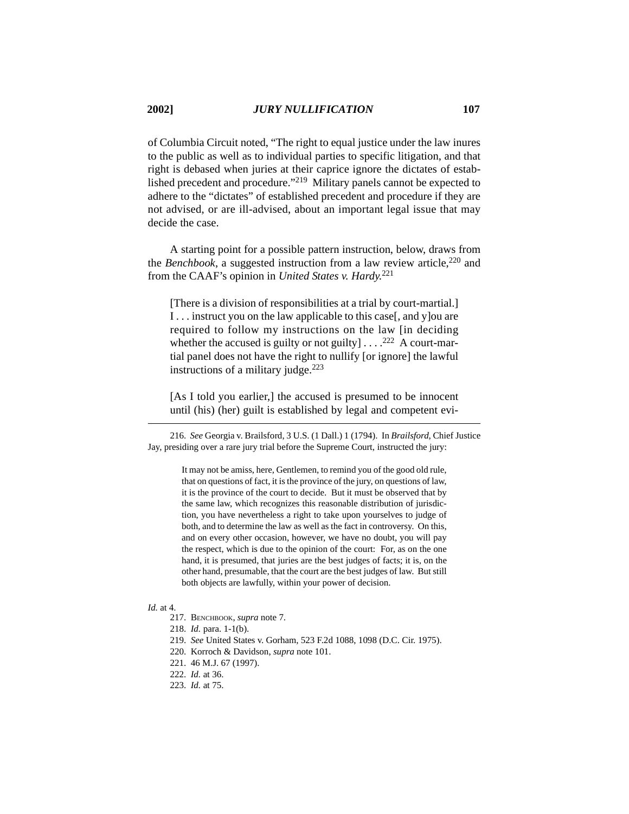of Columbia Circuit noted, "The right to equal justice under the law inures to the public as well as to individual parties to specific litigation, and that right is debased when juries at their caprice ignore the dictates of established precedent and procedure."219 Military panels cannot be expected to adhere to the "dictates" of established precedent and procedure if they are not advised, or are ill-advised, about an important legal issue that may decide the case.

A starting point for a possible pattern instruction, below, draws from the *Benchbook*, a suggested instruction from a law review article,<sup>220</sup> and from the CAAF's opinion in *United States v. Hardy.*<sup>221</sup>

[There is a division of responsibilities at a trial by court-martial.] I . . . instruct you on the law applicable to this case[, and y]ou are required to follow my instructions on the law [in deciding whether the accused is guilty or not guilty]  $\dots$ .<sup>222</sup> A court-martial panel does not have the right to nullify [or ignore] the lawful instructions of a military judge. $223$ 

[As I told you earlier,] the accused is presumed to be innocent until (his) (her) guilt is established by legal and competent evi-

216. *See* Georgia v. Brailsford, 3 U.S. (1 Dall.) 1 (1794). In *Brailsford*, Chief Justice Jay, presiding over a rare jury trial before the Supreme Court, instructed the jury:

> It may not be amiss, here, Gentlemen, to remind you of the good old rule, that on questions of fact, it is the province of the jury, on questions of law, it is the province of the court to decide. But it must be observed that by the same law, which recognizes this reasonable distribution of jurisdiction, you have nevertheless a right to take upon yourselves to judge of both, and to determine the law as well as the fact in controversy. On this, and on every other occasion, however, we have no doubt, you will pay the respect, which is due to the opinion of the court: For, as on the one hand, it is presumed, that juries are the best judges of facts; it is, on the other hand, presumable, that the court are the best judges of law. But still both objects are lawfully, within your power of decision.

### *Id.* at 4.

- 217. BENCHBOOK, *supra* note 7.
- 218. *Id.* para. 1-1(b).
- 219. *See* United States v. Gorham, 523 F.2d 1088, 1098 (D.C. Cir. 1975).
- 220. Korroch & Davidson, *supra* note 101.
- 221. 46 M.J. 67 (1997).
- 222. *Id.* at 36.
- 223. *Id.* at 75.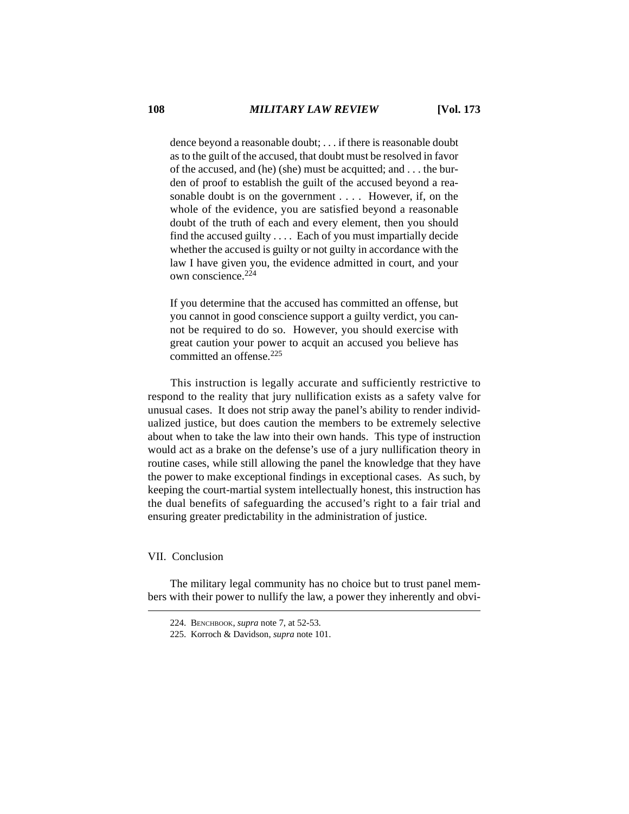dence beyond a reasonable doubt; . . . if there is reasonable doubt as to the guilt of the accused, that doubt must be resolved in favor of the accused, and (he) (she) must be acquitted; and . . . the burden of proof to establish the guilt of the accused beyond a reasonable doubt is on the government . . . . However, if, on the whole of the evidence, you are satisfied beyond a reasonable doubt of the truth of each and every element, then you should find the accused guilty . . . . Each of you must impartially decide whether the accused is guilty or not guilty in accordance with the law I have given you, the evidence admitted in court, and your own conscience.224

If you determine that the accused has committed an offense, but you cannot in good conscience support a guilty verdict, you cannot be required to do so. However, you should exercise with great caution your power to acquit an accused you believe has committed an offense.225

This instruction is legally accurate and sufficiently restrictive to respond to the reality that jury nullification exists as a safety valve for unusual cases. It does not strip away the panel's ability to render individualized justice, but does caution the members to be extremely selective about when to take the law into their own hands. This type of instruction would act as a brake on the defense's use of a jury nullification theory in routine cases, while still allowing the panel the knowledge that they have the power to make exceptional findings in exceptional cases. As such, by keeping the court-martial system intellectually honest, this instruction has the dual benefits of safeguarding the accused's right to a fair trial and ensuring greater predictability in the administration of justice.

### VII. Conclusion

The military legal community has no choice but to trust panel members with their power to nullify the law, a power they inherently and obvi-

<sup>224.</sup> BENCHBOOK, *supra* note 7, at 52-53.

<sup>225.</sup> Korroch & Davidson, *supra* note 101.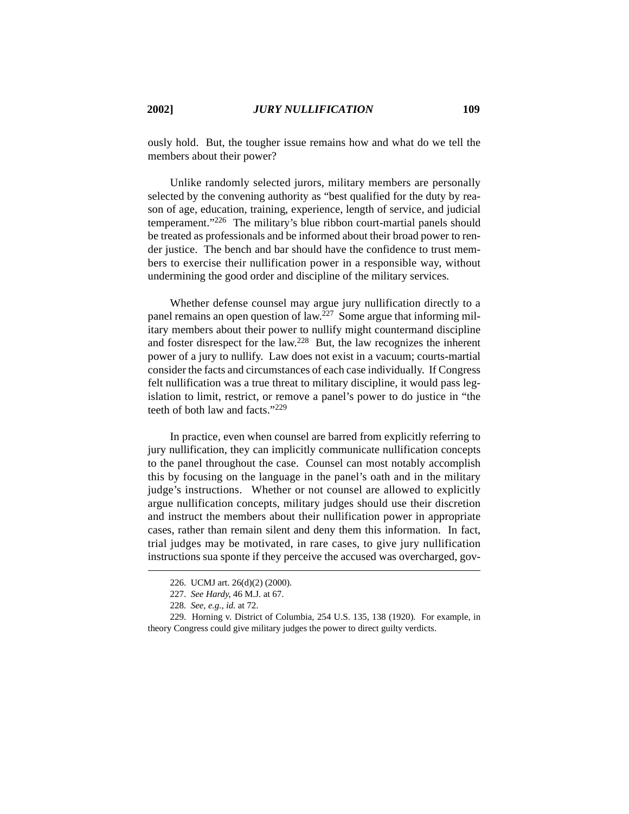ously hold. But, the tougher issue remains how and what do we tell the members about their power?

Unlike randomly selected jurors, military members are personally selected by the convening authority as "best qualified for the duty by reason of age, education, training, experience, length of service, and judicial temperament."226 The military's blue ribbon court-martial panels should be treated as professionals and be informed about their broad power to render justice. The bench and bar should have the confidence to trust members to exercise their nullification power in a responsible way, without undermining the good order and discipline of the military services.

Whether defense counsel may argue jury nullification directly to a panel remains an open question of  $law<sub>227</sub>$  Some argue that informing military members about their power to nullify might countermand discipline and foster disrespect for the law.228 But, the law recognizes the inherent power of a jury to nullify. Law does not exist in a vacuum; courts-martial consider the facts and circumstances of each case individually. If Congress felt nullification was a true threat to military discipline, it would pass legislation to limit, restrict, or remove a panel's power to do justice in "the teeth of both law and facts."229

In practice, even when counsel are barred from explicitly referring to jury nullification, they can implicitly communicate nullification concepts to the panel throughout the case. Counsel can most notably accomplish this by focusing on the language in the panel's oath and in the military judge's instructions. Whether or not counsel are allowed to explicitly argue nullification concepts, military judges should use their discretion and instruct the members about their nullification power in appropriate cases, rather than remain silent and deny them this information. In fact, trial judges may be motivated, in rare cases, to give jury nullification instructions sua sponte if they perceive the accused was overcharged, gov-

<sup>226.</sup> UCMJ art. 26(d)(2) (2000).

<sup>227.</sup> *See Hardy*, 46 M.J. at 67.

<sup>228.</sup> *See, e.g.*, *id.* at 72.

<sup>229.</sup> Horning v. District of Columbia, 254 U.S. 135, 138 (1920). For example, in theory Congress could give military judges the power to direct guilty verdicts.